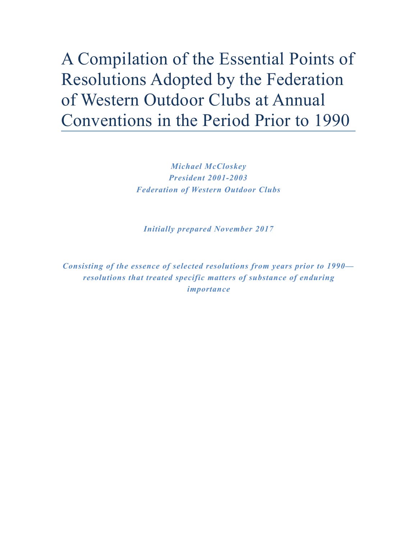A Compilation of the Essential Points of Resolutions Adopted by the Federation of Western Outdoor Clubs at Annual Conventions in the Period Prior to 1990

> *Michael McCloskey President 2001-2003 Federation of Western Outdoor Clubs*

*Initially prepared November 2017* 

*Consisting of the essence of selected resolutions from years prior to 1990 resolutions that treated specific matters of substance of enduring importance*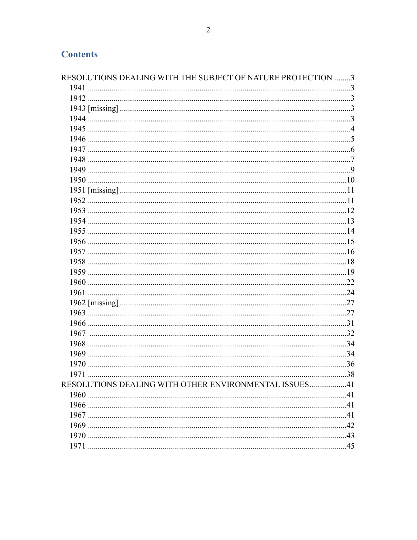| RESOLUTIONS DEALING WITH THE SUBJECT OF NATURE PROTECTION 3 |  |
|-------------------------------------------------------------|--|
|                                                             |  |
|                                                             |  |
|                                                             |  |
|                                                             |  |
|                                                             |  |
|                                                             |  |
|                                                             |  |
|                                                             |  |
|                                                             |  |
|                                                             |  |
|                                                             |  |
|                                                             |  |
|                                                             |  |
|                                                             |  |
|                                                             |  |
|                                                             |  |
|                                                             |  |
|                                                             |  |
|                                                             |  |
|                                                             |  |
|                                                             |  |
|                                                             |  |
|                                                             |  |
|                                                             |  |
|                                                             |  |
|                                                             |  |
|                                                             |  |
|                                                             |  |
| 1971                                                        |  |
| RESOLUTIONS DEALING WITH OTHER ENVIRONMENTAL ISSUES41       |  |
|                                                             |  |
|                                                             |  |
|                                                             |  |
|                                                             |  |
|                                                             |  |
|                                                             |  |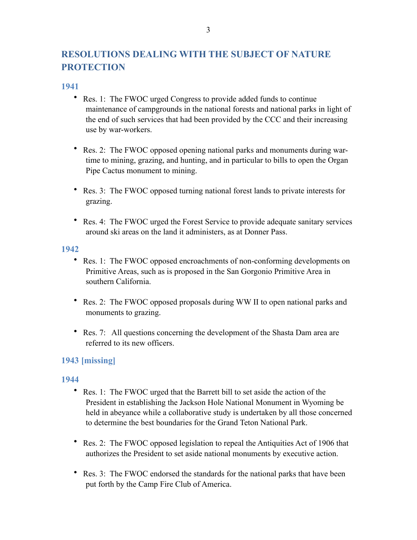# <span id="page-2-0"></span>**RESOLUTIONS DEALING WITH THE SUBJECT OF NATURE PROTECTION**

### <span id="page-2-1"></span>**1941**

- Res. 1: The FWOC urged Congress to provide added funds to continue maintenance of campgrounds in the national forests and national parks in light of the end of such services that had been provided by the CCC and their increasing use by war-workers.
- Res. 2: The FWOC opposed opening national parks and monuments during wartime to mining, grazing, and hunting, and in particular to bills to open the Organ Pipe Cactus monument to mining.
- Res. 3: The FWOC opposed turning national forest lands to private interests for grazing.
- Res. 4: The FWOC urged the Forest Service to provide adequate sanitary services around ski areas on the land it administers, as at Donner Pass.

### <span id="page-2-2"></span>**1942**

- Res. 1: The FWOC opposed encroachments of non-conforming developments on Primitive Areas, such as is proposed in the San Gorgonio Primitive Area in southern California.
- Res. 2: The FWOC opposed proposals during WW II to open national parks and monuments to grazing.
- Res. 7: All questions concerning the development of the Shasta Dam area are referred to its new officers.

# <span id="page-2-4"></span><span id="page-2-3"></span>**1943 [missing]**

- Res. 1: The FWOC urged that the Barrett bill to set aside the action of the President in establishing the Jackson Hole National Monument in Wyoming be held in abeyance while a collaborative study is undertaken by all those concerned to determine the best boundaries for the Grand Teton National Park.
- Res. 2: The FWOC opposed legislation to repeal the Antiquities Act of 1906 that authorizes the President to set aside national monuments by executive action.
- Res. 3: The FWOC endorsed the standards for the national parks that have been put forth by the Camp Fire Club of America.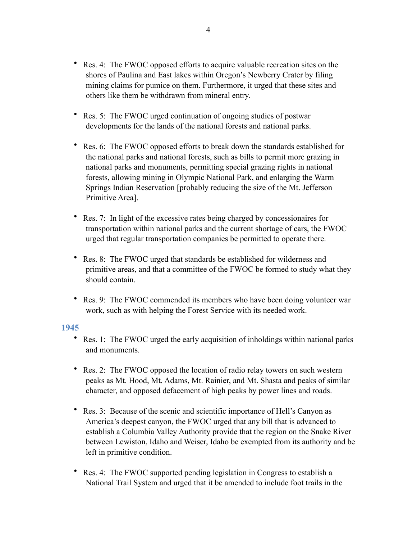- Res. 4: The FWOC opposed efforts to acquire valuable recreation sites on the shores of Paulina and East lakes within Oregon's Newberry Crater by filing mining claims for pumice on them. Furthermore, it urged that these sites and others like them be withdrawn from mineral entry.
- Res. 5: The FWOC urged continuation of ongoing studies of postwar developments for the lands of the national forests and national parks.
- Res. 6: The FWOC opposed efforts to break down the standards established for the national parks and national forests, such as bills to permit more grazing in national parks and monuments, permitting special grazing rights in national forests, allowing mining in Olympic National Park, and enlarging the Warm Springs Indian Reservation [probably reducing the size of the Mt. Jefferson Primitive Area].
- Res. 7: In light of the excessive rates being charged by concessionaires for transportation within national parks and the current shortage of cars, the FWOC urged that regular transportation companies be permitted to operate there.
- Res. 8: The FWOC urged that standards be established for wilderness and primitive areas, and that a committee of the FWOC be formed to study what they should contain.
- Res. 9: The FWOC commended its members who have been doing volunteer war work, such as with helping the Forest Service with its needed work.

- <span id="page-3-0"></span>• Res. 1: The FWOC urged the early acquisition of inholdings within national parks and monuments.
- Res. 2: The FWOC opposed the location of radio relay towers on such western peaks as Mt. Hood, Mt. Adams, Mt. Rainier, and Mt. Shasta and peaks of similar character, and opposed defacement of high peaks by power lines and roads.
- Res. 3: Because of the scenic and scientific importance of Hell's Canyon as America's deepest canyon, the FWOC urged that any bill that is advanced to establish a Columbia Valley Authority provide that the region on the Snake River between Lewiston, Idaho and Weiser, Idaho be exempted from its authority and be left in primitive condition.
- Res. 4: The FWOC supported pending legislation in Congress to establish a National Trail System and urged that it be amended to include foot trails in the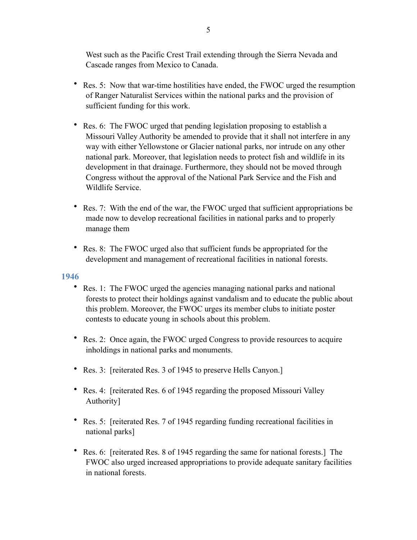West such as the Pacific Crest Trail extending through the Sierra Nevada and Cascade ranges from Mexico to Canada.

- Res. 5: Now that war-time hostilities have ended, the FWOC urged the resumption of Ranger Naturalist Services within the national parks and the provision of sufficient funding for this work.
- Res. 6: The FWOC urged that pending legislation proposing to establish a Missouri Valley Authority be amended to provide that it shall not interfere in any way with either Yellowstone or Glacier national parks, nor intrude on any other national park. Moreover, that legislation needs to protect fish and wildlife in its development in that drainage. Furthermore, they should not be moved through Congress without the approval of the National Park Service and the Fish and Wildlife Service.
- Res. 7: With the end of the war, the FWOC urged that sufficient appropriations be made now to develop recreational facilities in national parks and to properly manage them
- Res. 8: The FWOC urged also that sufficient funds be appropriated for the development and management of recreational facilities in national forests.

- <span id="page-4-0"></span>• Res. 1: The FWOC urged the agencies managing national parks and national forests to protect their holdings against vandalism and to educate the public about this problem. Moreover, the FWOC urges its member clubs to initiate poster contests to educate young in schools about this problem.
- Res. 2: Once again, the FWOC urged Congress to provide resources to acquire inholdings in national parks and monuments.
- Res. 3: [reiterated Res. 3 of 1945 to preserve Hells Canyon.]
- Res. 4: [reiterated Res. 6 of 1945 regarding the proposed Missouri Valley Authority]
- Res. 5: [reiterated Res. 7 of 1945 regarding funding recreational facilities in national parks]
- Res. 6: [reiterated Res. 8 of 1945 regarding the same for national forests.] The FWOC also urged increased appropriations to provide adequate sanitary facilities in national forests.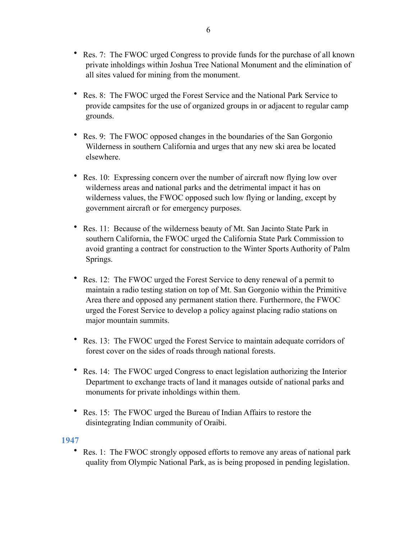- Res. 7: The FWOC urged Congress to provide funds for the purchase of all known private inholdings within Joshua Tree National Monument and the elimination of all sites valued for mining from the monument.
- Res. 8: The FWOC urged the Forest Service and the National Park Service to provide campsites for the use of organized groups in or adjacent to regular camp grounds.
- Res. 9: The FWOC opposed changes in the boundaries of the San Gorgonio Wilderness in southern California and urges that any new ski area be located elsewhere.
- Res. 10: Expressing concern over the number of aircraft now flying low over wilderness areas and national parks and the detrimental impact it has on wilderness values, the FWOC opposed such low flying or landing, except by government aircraft or for emergency purposes.
- Res. 11: Because of the wilderness beauty of Mt. San Jacinto State Park in southern California, the FWOC urged the California State Park Commission to avoid granting a contract for construction to the Winter Sports Authority of Palm Springs.
- Res. 12: The FWOC urged the Forest Service to deny renewal of a permit to maintain a radio testing station on top of Mt. San Gorgonio within the Primitive Area there and opposed any permanent station there. Furthermore, the FWOC urged the Forest Service to develop a policy against placing radio stations on major mountain summits.
- Res. 13: The FWOC urged the Forest Service to maintain adequate corridors of forest cover on the sides of roads through national forests.
- Res. 14: The FWOC urged Congress to enact legislation authorizing the Interior Department to exchange tracts of land it manages outside of national parks and monuments for private inholdings within them.
- Res. 15: The FWOC urged the Bureau of Indian Affairs to restore the disintegrating Indian community of Oraibi.

<span id="page-5-0"></span>• Res. 1: The FWOC strongly opposed efforts to remove any areas of national park quality from Olympic National Park, as is being proposed in pending legislation.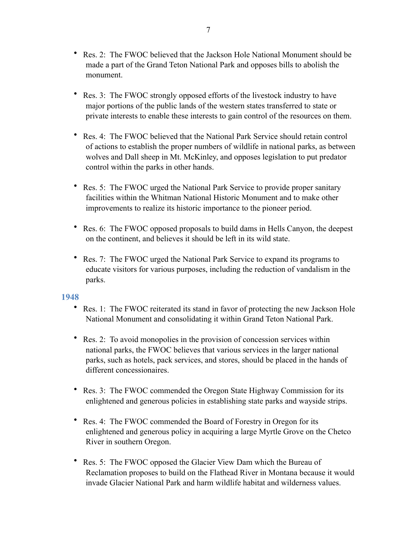- Res. 2: The FWOC believed that the Jackson Hole National Monument should be made a part of the Grand Teton National Park and opposes bills to abolish the monument.
- Res. 3: The FWOC strongly opposed efforts of the livestock industry to have major portions of the public lands of the western states transferred to state or private interests to enable these interests to gain control of the resources on them.
- Res. 4: The FWOC believed that the National Park Service should retain control of actions to establish the proper numbers of wildlife in national parks, as between wolves and Dall sheep in Mt. McKinley, and opposes legislation to put predator control within the parks in other hands.
- Res. 5: The FWOC urged the National Park Service to provide proper sanitary facilities within the Whitman National Historic Monument and to make other improvements to realize its historic importance to the pioneer period.
- Res. 6: The FWOC opposed proposals to build dams in Hells Canyon, the deepest on the continent, and believes it should be left in its wild state.
- Res. 7: The FWOC urged the National Park Service to expand its programs to educate visitors for various purposes, including the reduction of vandalism in the parks.

- <span id="page-6-0"></span>• Res. 1: The FWOC reiterated its stand in favor of protecting the new Jackson Hole National Monument and consolidating it within Grand Teton National Park.
- Res. 2: To avoid monopolies in the provision of concession services within national parks, the FWOC believes that various services in the larger national parks, such as hotels, pack services, and stores, should be placed in the hands of different concessionaires.
- Res. 3: The FWOC commended the Oregon State Highway Commission for its enlightened and generous policies in establishing state parks and wayside strips.
- Res. 4: The FWOC commended the Board of Forestry in Oregon for its enlightened and generous policy in acquiring a large Myrtle Grove on the Chetco River in southern Oregon.
- Res. 5: The FWOC opposed the Glacier View Dam which the Bureau of Reclamation proposes to build on the Flathead River in Montana because it would invade Glacier National Park and harm wildlife habitat and wilderness values.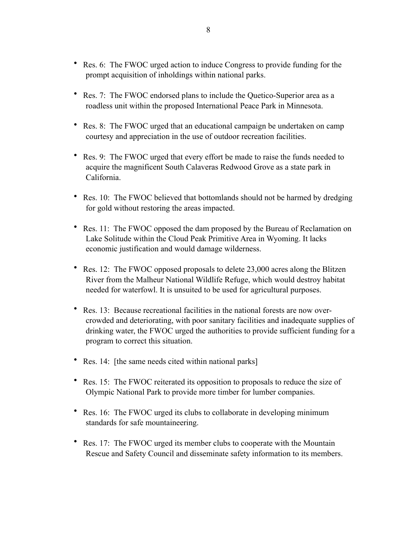- Res. 6: The FWOC urged action to induce Congress to provide funding for the prompt acquisition of inholdings within national parks.
- Res. 7: The FWOC endorsed plans to include the Quetico-Superior area as a roadless unit within the proposed International Peace Park in Minnesota.
- Res. 8: The FWOC urged that an educational campaign be undertaken on camp courtesy and appreciation in the use of outdoor recreation facilities.
- Res. 9: The FWOC urged that every effort be made to raise the funds needed to acquire the magnificent South Calaveras Redwood Grove as a state park in California.
- Res. 10: The FWOC believed that bottomlands should not be harmed by dredging for gold without restoring the areas impacted.
- Res. 11: The FWOC opposed the dam proposed by the Bureau of Reclamation on Lake Solitude within the Cloud Peak Primitive Area in Wyoming. It lacks economic justification and would damage wilderness.
- Res. 12: The FWOC opposed proposals to delete 23,000 acres along the Blitzen River from the Malheur National Wildlife Refuge, which would destroy habitat needed for waterfowl. It is unsuited to be used for agricultural purposes.
- Res. 13: Because recreational facilities in the national forests are now overcrowded and deteriorating, with poor sanitary facilities and inadequate supplies of drinking water, the FWOC urged the authorities to provide sufficient funding for a program to correct this situation.
- Res. 14: [the same needs cited within national parks]
- Res. 15: The FWOC reiterated its opposition to proposals to reduce the size of Olympic National Park to provide more timber for lumber companies.
- Res. 16: The FWOC urged its clubs to collaborate in developing minimum standards for safe mountaineering.
- Res. 17: The FWOC urged its member clubs to cooperate with the Mountain Rescue and Safety Council and disseminate safety information to its members.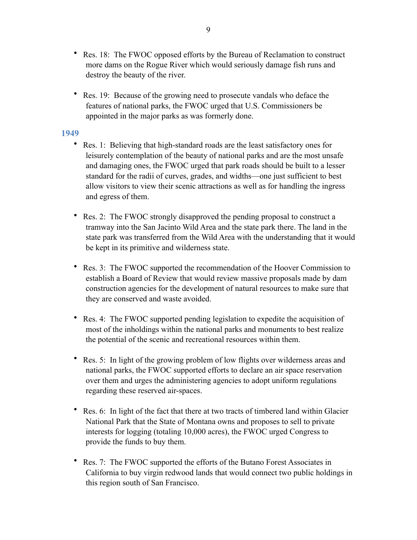- Res. 18: The FWOC opposed efforts by the Bureau of Reclamation to construct more dams on the Rogue River which would seriously damage fish runs and destroy the beauty of the river.
- Res. 19: Because of the growing need to prosecute vandals who deface the features of national parks, the FWOC urged that U.S. Commissioners be appointed in the major parks as was formerly done.

- <span id="page-8-0"></span>• Res. 1: Believing that high-standard roads are the least satisfactory ones for leisurely contemplation of the beauty of national parks and are the most unsafe and damaging ones, the FWOC urged that park roads should be built to a lesser standard for the radii of curves, grades, and widths—one just sufficient to best allow visitors to view their scenic attractions as well as for handling the ingress and egress of them.
- Res. 2: The FWOC strongly disapproved the pending proposal to construct a tramway into the San Jacinto Wild Area and the state park there. The land in the state park was transferred from the Wild Area with the understanding that it would be kept in its primitive and wilderness state.
- Res. 3: The FWOC supported the recommendation of the Hoover Commission to establish a Board of Review that would review massive proposals made by dam construction agencies for the development of natural resources to make sure that they are conserved and waste avoided.
- Res. 4: The FWOC supported pending legislation to expedite the acquisition of most of the inholdings within the national parks and monuments to best realize the potential of the scenic and recreational resources within them.
- Res. 5: In light of the growing problem of low flights over wilderness areas and national parks, the FWOC supported efforts to declare an air space reservation over them and urges the administering agencies to adopt uniform regulations regarding these reserved air-spaces.
- Res. 6: In light of the fact that there at two tracts of timbered land within Glacier National Park that the State of Montana owns and proposes to sell to private interests for logging (totaling 10,000 acres), the FWOC urged Congress to provide the funds to buy them.
- Res. 7: The FWOC supported the efforts of the Butano Forest Associates in California to buy virgin redwood lands that would connect two public holdings in this region south of San Francisco.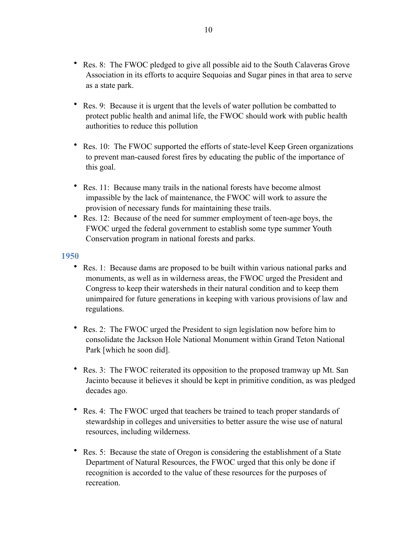- Res. 8: The FWOC pledged to give all possible aid to the South Calaveras Grove Association in its efforts to acquire Sequoias and Sugar pines in that area to serve as a state park.
- Res. 9: Because it is urgent that the levels of water pollution be combatted to protect public health and animal life, the FWOC should work with public health authorities to reduce this pollution
- Res. 10: The FWOC supported the efforts of state-level Keep Green organizations to prevent man-caused forest fires by educating the public of the importance of this goal.
- Res. 11: Because many trails in the national forests have become almost impassible by the lack of maintenance, the FWOC will work to assure the provision of necessary funds for maintaining these trails.
- Res. 12: Because of the need for summer employment of teen-age boys, the FWOC urged the federal government to establish some type summer Youth Conservation program in national forests and parks.

- <span id="page-9-0"></span>• Res. 1: Because dams are proposed to be built within various national parks and monuments, as well as in wilderness areas, the FWOC urged the President and Congress to keep their watersheds in their natural condition and to keep them unimpaired for future generations in keeping with various provisions of law and regulations.
- Res. 2: The FWOC urged the President to sign legislation now before him to consolidate the Jackson Hole National Monument within Grand Teton National Park [which he soon did].
- Res. 3: The FWOC reiterated its opposition to the proposed tramway up Mt. San Jacinto because it believes it should be kept in primitive condition, as was pledged decades ago.
- Res. 4: The FWOC urged that teachers be trained to teach proper standards of stewardship in colleges and universities to better assure the wise use of natural resources, including wilderness.
- Res. 5: Because the state of Oregon is considering the establishment of a State Department of Natural Resources, the FWOC urged that this only be done if recognition is accorded to the value of these resources for the purposes of recreation.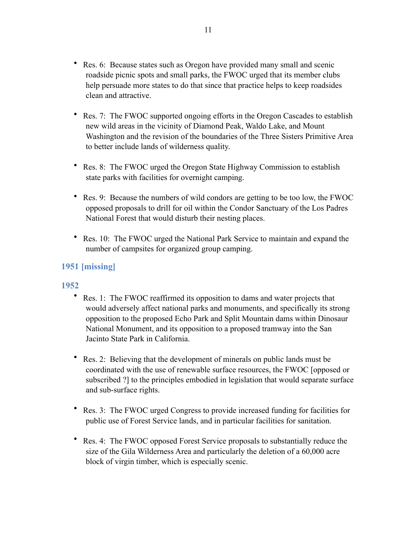- Res. 6: Because states such as Oregon have provided many small and scenic roadside picnic spots and small parks, the FWOC urged that its member clubs help persuade more states to do that since that practice helps to keep roadsides clean and attractive.
- Res. 7: The FWOC supported ongoing efforts in the Oregon Cascades to establish new wild areas in the vicinity of Diamond Peak, Waldo Lake, and Mount Washington and the revision of the boundaries of the Three Sisters Primitive Area to better include lands of wilderness quality.
- Res. 8: The FWOC urged the Oregon State Highway Commission to establish state parks with facilities for overnight camping.
- Res. 9: Because the numbers of wild condors are getting to be too low, the FWOC opposed proposals to drill for oil within the Condor Sanctuary of the Los Padres National Forest that would disturb their nesting places.
- Res. 10: The FWOC urged the National Park Service to maintain and expand the number of campsites for organized group camping.

# <span id="page-10-1"></span><span id="page-10-0"></span>**1951 [missing]**

- Res. 1: The FWOC reaffirmed its opposition to dams and water projects that would adversely affect national parks and monuments, and specifically its strong opposition to the proposed Echo Park and Split Mountain dams within Dinosaur National Monument, and its opposition to a proposed tramway into the San Jacinto State Park in California.
- Res. 2: Believing that the development of minerals on public lands must be coordinated with the use of renewable surface resources, the FWOC [opposed or subscribed ?] to the principles embodied in legislation that would separate surface and sub-surface rights.
- Res. 3: The FWOC urged Congress to provide increased funding for facilities for public use of Forest Service lands, and in particular facilities for sanitation.
- Res. 4: The FWOC opposed Forest Service proposals to substantially reduce the size of the Gila Wilderness Area and particularly the deletion of a 60,000 acre block of virgin timber, which is especially scenic.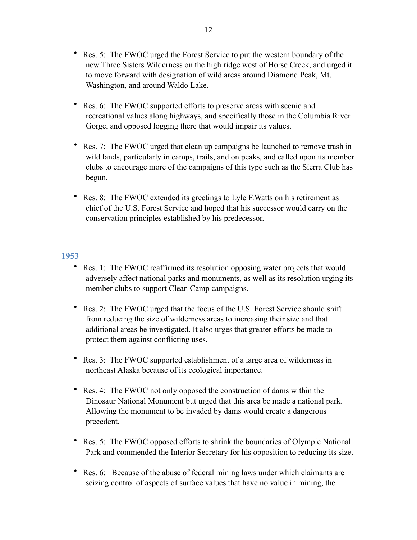- Res. 5: The FWOC urged the Forest Service to put the western boundary of the new Three Sisters Wilderness on the high ridge west of Horse Creek, and urged it to move forward with designation of wild areas around Diamond Peak, Mt. Washington, and around Waldo Lake.
- Res. 6: The FWOC supported efforts to preserve areas with scenic and recreational values along highways, and specifically those in the Columbia River Gorge, and opposed logging there that would impair its values.
- Res. 7: The FWOC urged that clean up campaigns be launched to remove trash in wild lands, particularly in camps, trails, and on peaks, and called upon its member clubs to encourage more of the campaigns of this type such as the Sierra Club has begun.
- Res. 8: The FWOC extended its greetings to Lyle F.Watts on his retirement as chief of the U.S. Forest Service and hoped that his successor would carry on the conservation principles established by his predecessor.

- <span id="page-11-0"></span>• Res. 1: The FWOC reaffirmed its resolution opposing water projects that would adversely affect national parks and monuments, as well as its resolution urging its member clubs to support Clean Camp campaigns.
- Res. 2: The FWOC urged that the focus of the U.S. Forest Service should shift from reducing the size of wilderness areas to increasing their size and that additional areas be investigated. It also urges that greater efforts be made to protect them against conflicting uses.
- Res. 3: The FWOC supported establishment of a large area of wilderness in northeast Alaska because of its ecological importance.
- Res. 4: The FWOC not only opposed the construction of dams within the Dinosaur National Monument but urged that this area be made a national park. Allowing the monument to be invaded by dams would create a dangerous precedent.
- Res. 5: The FWOC opposed efforts to shrink the boundaries of Olympic National Park and commended the Interior Secretary for his opposition to reducing its size.
- Res. 6: Because of the abuse of federal mining laws under which claimants are seizing control of aspects of surface values that have no value in mining, the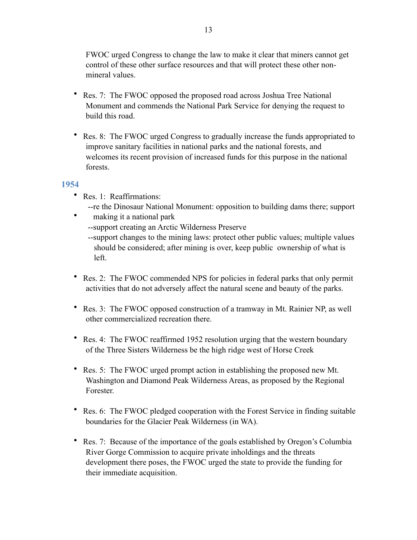FWOC urged Congress to change the law to make it clear that miners cannot get control of these other surface resources and that will protect these other nonmineral values.

- Res. 7: The FWOC opposed the proposed road across Joshua Tree National Monument and commends the National Park Service for denying the request to build this road.
- Res. 8: The FWOC urged Congress to gradually increase the funds appropriated to improve sanitary facilities in national parks and the national forests, and welcomes its recent provision of increased funds for this purpose in the national forests.

- <span id="page-12-0"></span>• Res. 1: Reaffirmations:
	- --re the Dinosaur National Monument: opposition to building dams there; support
- making it a national park
	- --support creating an Arctic Wilderness Preserve
	- --support changes to the mining laws: protect other public values; multiple values should be considered; after mining is over, keep public ownership of what is left.
- Res. 2: The FWOC commended NPS for policies in federal parks that only permit activities that do not adversely affect the natural scene and beauty of the parks.
- Res. 3: The FWOC opposed construction of a tramway in Mt. Rainier NP, as well other commercialized recreation there.
- Res. 4: The FWOC reaffirmed 1952 resolution urging that the western boundary of the Three Sisters Wilderness be the high ridge west of Horse Creek
- Res. 5: The FWOC urged prompt action in establishing the proposed new Mt. Washington and Diamond Peak Wilderness Areas, as proposed by the Regional Forester.
- Res. 6: The FWOC pledged cooperation with the Forest Service in finding suitable boundaries for the Glacier Peak Wilderness (in WA).
- Res. 7: Because of the importance of the goals established by Oregon's Columbia River Gorge Commission to acquire private inholdings and the threats development there poses, the FWOC urged the state to provide the funding for their immediate acquisition.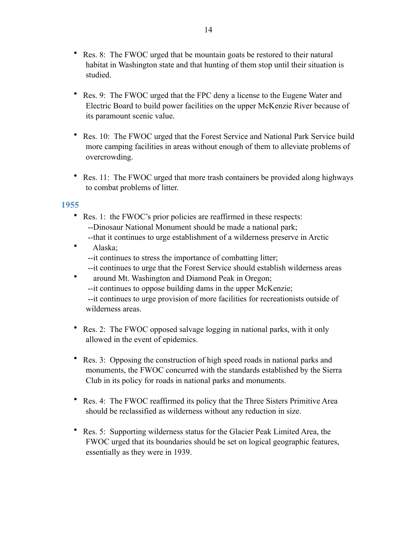- Res. 8: The FWOC urged that be mountain goats be restored to their natural habitat in Washington state and that hunting of them stop until their situation is studied.
- Res. 9: The FWOC urged that the FPC deny a license to the Eugene Water and Electric Board to build power facilities on the upper McKenzie River because of its paramount scenic value.
- Res. 10: The FWOC urged that the Forest Service and National Park Service build more camping facilities in areas without enough of them to alleviate problems of overcrowding.
- Res. 11: The FWOC urged that more trash containers be provided along highways to combat problems of litter.

- <span id="page-13-0"></span>• Res. 1: the FWOC's prior policies are reaffirmed in these respects: --Dinosaur National Monument should be made a national park;
	- --that it continues to urge establishment of a wilderness preserve in Arctic
- Alaska; --it continues to stress the importance of combatting litter;
	- --it continues to urge that the Forest Service should establish wilderness areas
- around Mt. Washington and Diamond Peak in Oregon;
	- --it continues to oppose building dams in the upper McKenzie;
	- --it continues to urge provision of more facilities for recreationists outside of wilderness areas.
- Res. 2: The FWOC opposed salvage logging in national parks, with it only allowed in the event of epidemics.
- Res. 3: Opposing the construction of high speed roads in national parks and monuments, the FWOC concurred with the standards established by the Sierra Club in its policy for roads in national parks and monuments.
- Res. 4: The FWOC reaffirmed its policy that the Three Sisters Primitive Area should be reclassified as wilderness without any reduction in size.
- Res. 5: Supporting wilderness status for the Glacier Peak Limited Area, the FWOC urged that its boundaries should be set on logical geographic features, essentially as they were in 1939.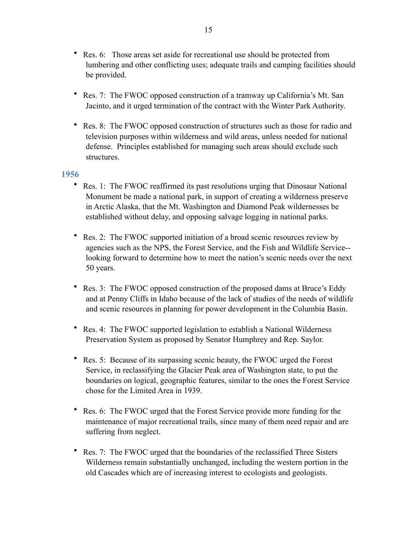- Res. 6: Those areas set aside for recreational use should be protected from lumbering and other conflicting uses; adequate trails and camping facilities should be provided.
- Res. 7: The FWOC opposed construction of a tramway up California's Mt. San Jacinto, and it urged termination of the contract with the Winter Park Authority.
- Res. 8: The FWOC opposed construction of structures such as those for radio and television purposes within wilderness and wild areas, unless needed for national defense. Principles established for managing such areas should exclude such structures.

- <span id="page-14-0"></span>• Res. 1: The FWOC reaffirmed its past resolutions urging that Dinosaur National Monument be made a national park, in support of creating a wilderness preserve in Arctic Alaska, that the Mt. Washington and Diamond Peak wildernesses be established without delay, and opposing salvage logging in national parks.
- Res. 2: The FWOC supported initiation of a broad scenic resources review by agencies such as the NPS, the Forest Service, and the Fish and Wildlife Service- looking forward to determine how to meet the nation's scenic needs over the next 50 years.
- Res. 3: The FWOC opposed construction of the proposed dams at Bruce's Eddy and at Penny Cliffs in Idaho because of the lack of studies of the needs of wildlife and scenic resources in planning for power development in the Columbia Basin.
- Res. 4: The FWOC supported legislation to establish a National Wilderness Preservation System as proposed by Senator Humphrey and Rep. Saylor.
- Res. 5: Because of its surpassing scenic beauty, the FWOC urged the Forest Service, in reclassifying the Glacier Peak area of Washington state, to put the boundaries on logical, geographic features, similar to the ones the Forest Service chose for the Limited Area in 1939.
- Res. 6: The FWOC urged that the Forest Service provide more funding for the maintenance of major recreational trails, since many of them need repair and are suffering from neglect.
- Res. 7: The FWOC urged that the boundaries of the reclassified Three Sisters Wilderness remain substantially unchanged, including the western portion in the old Cascades which are of increasing interest to ecologists and geologists.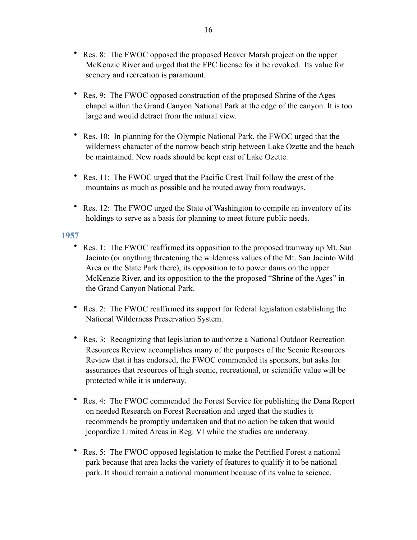- Res. 8: The FWOC opposed the proposed Beaver Marsh project on the upper McKenzie River and urged that the FPC license for it be revoked. Its value for scenery and recreation is paramount.
- Res. 9: The FWOC opposed construction of the proposed Shrine of the Ages chapel within the Grand Canyon National Park at the edge of the canyon. It is too large and would detract from the natural view.
- Res. 10: In planning for the Olympic National Park, the FWOC urged that the wilderness character of the narrow beach strip between Lake Ozette and the beach be maintained. New roads should be kept east of Lake Ozette.
- Res. 11: The FWOC urged that the Pacific Crest Trail follow the crest of the mountains as much as possible and be routed away from roadways.
- Res. 12: The FWOC urged the State of Washington to compile an inventory of its holdings to serve as a basis for planning to meet future public needs.

- <span id="page-15-0"></span>• Res. 1: The FWOC reaffirmed its opposition to the proposed tramway up Mt. San Jacinto (or anything threatening the wilderness values of the Mt. San Jacinto Wild Area or the State Park there), its opposition to to power dams on the upper McKenzie River, and its opposition to the the proposed "Shrine of the Ages" in the Grand Canyon National Park.
- Res. 2: The FWOC reaffirmed its support for federal legislation establishing the National Wilderness Preservation System.
- Res. 3: Recognizing that legislation to authorize a National Outdoor Recreation Resources Review accomplishes many of the purposes of the Scenic Resources Review that it has endorsed, the FWOC commended its sponsors, but asks for assurances that resources of high scenic, recreational, or scientific value will be protected while it is underway.
- Res. 4: The FWOC commended the Forest Service for publishing the Dana Report on needed Research on Forest Recreation and urged that the studies it recommends be promptly undertaken and that no action be taken that would jeopardize Limited Areas in Reg. VI while the studies are underway.
- Res. 5: The FWOC opposed legislation to make the Petrified Forest a national park because that area lacks the variety of features to qualify it to be national park. It should remain a national monument because of its value to science.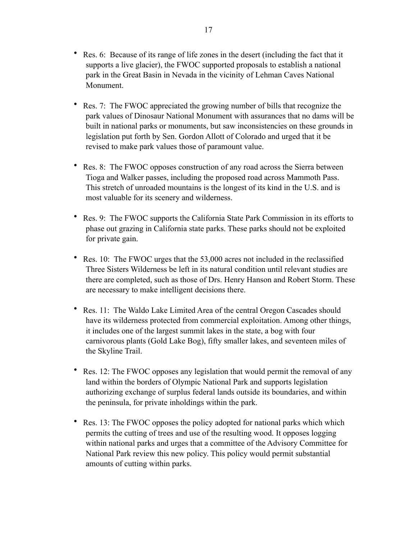- Res. 6: Because of its range of life zones in the desert (including the fact that it supports a live glacier), the FWOC supported proposals to establish a national park in the Great Basin in Nevada in the vicinity of Lehman Caves National Monument.
- Res. 7: The FWOC appreciated the growing number of bills that recognize the park values of Dinosaur National Monument with assurances that no dams will be built in national parks or monuments, but saw inconsistencies on these grounds in legislation put forth by Sen. Gordon Allott of Colorado and urged that it be revised to make park values those of paramount value.
- Res. 8: The FWOC opposes construction of any road across the Sierra between Tioga and Walker passes, including the proposed road across Mammoth Pass. This stretch of unroaded mountains is the longest of its kind in the U.S. and is most valuable for its scenery and wilderness.
- Res. 9: The FWOC supports the California State Park Commission in its efforts to phase out grazing in California state parks. These parks should not be exploited for private gain.
- Res. 10: The FWOC urges that the 53,000 acres not included in the reclassified Three Sisters Wilderness be left in its natural condition until relevant studies are there are completed, such as those of Drs. Henry Hanson and Robert Storm. These are necessary to make intelligent decisions there.
- Res. 11: The Waldo Lake Limited Area of the central Oregon Cascades should have its wilderness protected from commercial exploitation. Among other things, it includes one of the largest summit lakes in the state, a bog with four carnivorous plants (Gold Lake Bog), fifty smaller lakes, and seventeen miles of the Skyline Trail.
- Res. 12: The FWOC opposes any legislation that would permit the removal of any land within the borders of Olympic National Park and supports legislation authorizing exchange of surplus federal lands outside its boundaries, and within the peninsula, for private inholdings within the park.
- Res. 13: The FWOC opposes the policy adopted for national parks which which permits the cutting of trees and use of the resulting wood. It opposes logging within national parks and urges that a committee of the Advisory Committee for National Park review this new policy. This policy would permit substantial amounts of cutting within parks.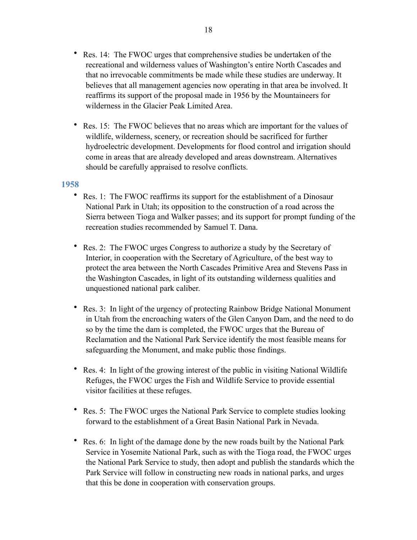- Res. 14: The FWOC urges that comprehensive studies be undertaken of the recreational and wilderness values of Washington's entire North Cascades and that no irrevocable commitments be made while these studies are underway. It believes that all management agencies now operating in that area be involved. It reaffirms its support of the proposal made in 1956 by the Mountaineers for wilderness in the Glacier Peak Limited Area.
- Res. 15: The FWOC believes that no areas which are important for the values of wildlife, wilderness, scenery, or recreation should be sacrificed for further hydroelectric development. Developments for flood control and irrigation should come in areas that are already developed and areas downstream. Alternatives should be carefully appraised to resolve conflicts.

- <span id="page-17-0"></span>• Res. 1: The FWOC reaffirms its support for the establishment of a Dinosaur National Park in Utah; its opposition to the construction of a road across the Sierra between Tioga and Walker passes; and its support for prompt funding of the recreation studies recommended by Samuel T. Dana.
- Res. 2: The FWOC urges Congress to authorize a study by the Secretary of Interior, in cooperation with the Secretary of Agriculture, of the best way to protect the area between the North Cascades Primitive Area and Stevens Pass in the Washington Cascades, in light of its outstanding wilderness qualities and unquestioned national park caliber.
- Res. 3: In light of the urgency of protecting Rainbow Bridge National Monument in Utah from the encroaching waters of the Glen Canyon Dam, and the need to do so by the time the dam is completed, the FWOC urges that the Bureau of Reclamation and the National Park Service identify the most feasible means for safeguarding the Monument, and make public those findings.
- Res. 4: In light of the growing interest of the public in visiting National Wildlife Refuges, the FWOC urges the Fish and Wildlife Service to provide essential visitor facilities at these refuges.
- Res. 5: The FWOC urges the National Park Service to complete studies looking forward to the establishment of a Great Basin National Park in Nevada.
- Res. 6: In light of the damage done by the new roads built by the National Park Service in Yosemite National Park, such as with the Tioga road, the FWOC urges the National Park Service to study, then adopt and publish the standards which the Park Service will follow in constructing new roads in national parks, and urges that this be done in cooperation with conservation groups.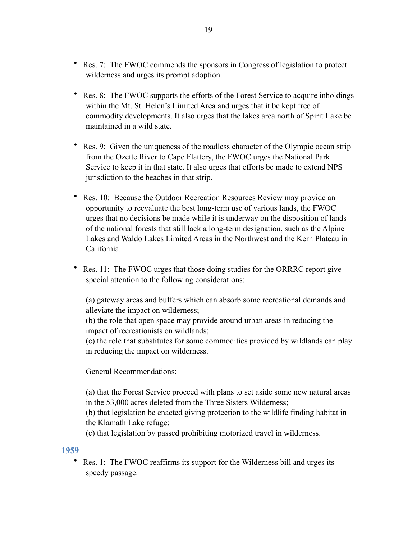- Res. 7: The FWOC commends the sponsors in Congress of legislation to protect wilderness and urges its prompt adoption.
- Res. 8: The FWOC supports the efforts of the Forest Service to acquire inholdings within the Mt. St. Helen's Limited Area and urges that it be kept free of commodity developments. It also urges that the lakes area north of Spirit Lake be maintained in a wild state
- Res. 9: Given the uniqueness of the roadless character of the Olympic ocean strip from the Ozette River to Cape Flattery, the FWOC urges the National Park Service to keep it in that state. It also urges that efforts be made to extend NPS jurisdiction to the beaches in that strip.
- Res. 10: Because the Outdoor Recreation Resources Review may provide an opportunity to reevaluate the best long-term use of various lands, the FWOC urges that no decisions be made while it is underway on the disposition of lands of the national forests that still lack a long-term designation, such as the Alpine Lakes and Waldo Lakes Limited Areas in the Northwest and the Kern Plateau in California.
- Res. 11: The FWOC urges that those doing studies for the ORRRC report give special attention to the following considerations:

(a) gateway areas and buffers which can absorb some recreational demands and alleviate the impact on wilderness;

(b) the role that open space may provide around urban areas in reducing the impact of recreationists on wildlands;

(c) the role that substitutes for some commodities provided by wildlands can play in reducing the impact on wilderness.

General Recommendations:

(a) that the Forest Service proceed with plans to set aside some new natural areas in the 53,000 acres deleted from the Three Sisters Wilderness;

(b) that legislation be enacted giving protection to the wildlife finding habitat in the Klamath Lake refuge;

(c) that legislation by passed prohibiting motorized travel in wilderness.

<span id="page-18-0"></span>**1959** 

• Res. 1: The FWOC reaffirms its support for the Wilderness bill and urges its speedy passage.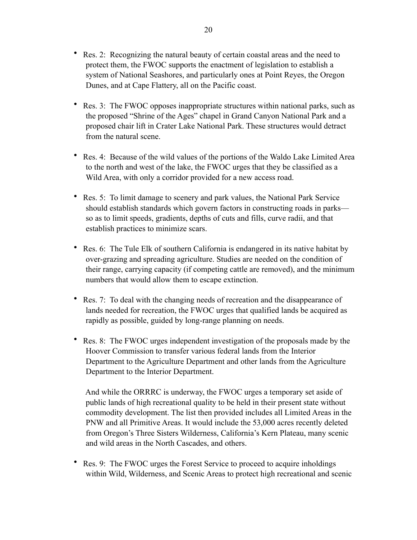- Res. 2: Recognizing the natural beauty of certain coastal areas and the need to protect them, the FWOC supports the enactment of legislation to establish a system of National Seashores, and particularly ones at Point Reyes, the Oregon Dunes, and at Cape Flattery, all on the Pacific coast.
- Res. 3: The FWOC opposes inappropriate structures within national parks, such as the proposed "Shrine of the Ages" chapel in Grand Canyon National Park and a proposed chair lift in Crater Lake National Park. These structures would detract from the natural scene.
- Res. 4: Because of the wild values of the portions of the Waldo Lake Limited Area to the north and west of the lake, the FWOC urges that they be classified as a Wild Area, with only a corridor provided for a new access road.
- Res. 5: To limit damage to scenery and park values, the National Park Service should establish standards which govern factors in constructing roads in parks so as to limit speeds, gradients, depths of cuts and fills, curve radii, and that establish practices to minimize scars.
- Res. 6: The Tule Elk of southern California is endangered in its native habitat by over-grazing and spreading agriculture. Studies are needed on the condition of their range, carrying capacity (if competing cattle are removed), and the minimum numbers that would allow them to escape extinction.
- Res. 7: To deal with the changing needs of recreation and the disappearance of lands needed for recreation, the FWOC urges that qualified lands be acquired as rapidly as possible, guided by long-range planning on needs.
- Res. 8: The FWOC urges independent investigation of the proposals made by the Hoover Commission to transfer various federal lands from the Interior Department to the Agriculture Department and other lands from the Agriculture Department to the Interior Department.

 And while the ORRRC is underway, the FWOC urges a temporary set aside of public lands of high recreational quality to be held in their present state without commodity development. The list then provided includes all Limited Areas in the PNW and all Primitive Areas. It would include the 53,000 acres recently deleted from Oregon's Three Sisters Wilderness, California's Kern Plateau, many scenic and wild areas in the North Cascades, and others.

• Res. 9: The FWOC urges the Forest Service to proceed to acquire inholdings within Wild, Wilderness, and Scenic Areas to protect high recreational and scenic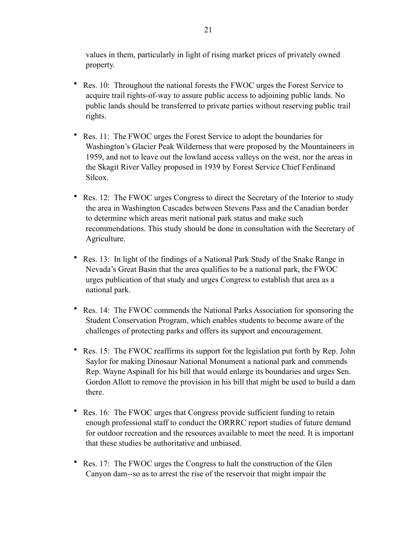values in them, particularly in light of rising market prices of privately owned property.

- Res. 10: Throughout the national forests the FWOC urges the Forest Service to acquire trail rights-of-way to assure public access to adjoining public lands. No public lands should be transferred to private parties without reserving public trail rights.
- Res. 11: The FWOC urges the Forest Service to adopt the boundaries for Washington's Glacier Peak Wilderness that were proposed by the Mountaineers in 1959, and not to leave out the lowland access valleys on the west, nor the areas in the Skagit River Valley proposed in 1939 by Forest Service Chief Ferdinand Silcox.
- Res. 12: The FWOC urges Congress to direct the Secretary of the Interior to study the area in Washington Cascades between Stevens Pass and the Canadian border to determine which areas merit national park status and make such recommendations. This study should be done in consultation with the Secretary of Agriculture.
- Res. 13: In light of the findings of a National Park Study of the Snake Range in Nevada's Great Basin that the area qualifies to be a national park, the FWOC urges publication of that study and urges Congress to establish that area as a national park.
- Res. 14: The FWOC commends the National Parks Association for sponsoring the Student Conservation Program, which enables students to become aware of the challenges of protecting parks and offers its support and encouragement.
- Res. 15: The FWOC reaffirms its support for the legislation put forth by Rep. John Saylor for making Dinosaur National Monument a national park and commends Rep. Wayne Aspinall for his bill that would enlarge its boundaries and urges Sen. Gordon Allott to remove the provision in his bill that might be used to build a dam there.
- Res. 16: The FWOC urges that Congress provide sufficient funding to retain enough professional staff to conduct the ORRRC report studies of future demand for outdoor recreation and the resources available to meet the need. It is important that these studies be authoritative and unbiased.
- Res. 17: The FWOC urges the Congress to halt the construction of the Glen Canyon dam--so as to arrest the rise of the reservoir that might impair the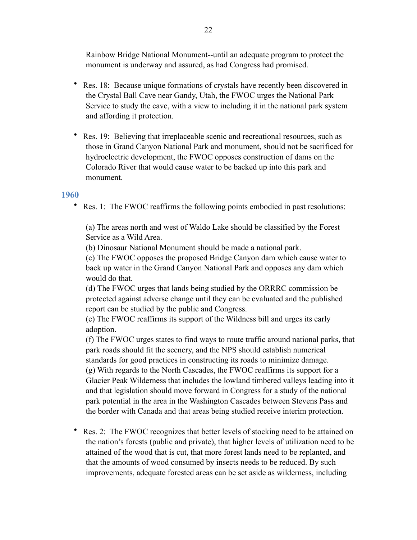Rainbow Bridge National Monument--until an adequate program to protect the monument is underway and assured, as had Congress had promised.

- Res. 18: Because unique formations of crystals have recently been discovered in the Crystal Ball Cave near Gandy, Utah, the FWOC urges the National Park Service to study the cave, with a view to including it in the national park system and affording it protection.
- Res. 19: Believing that irreplaceable scenic and recreational resources, such as those in Grand Canyon National Park and monument, should not be sacrificed for hydroelectric development, the FWOC opposes construction of dams on the Colorado River that would cause water to be backed up into this park and monument.

# <span id="page-21-0"></span>**1960**

• Res. 1: The FWOC reaffirms the following points embodied in past resolutions:

(a) The areas north and west of Waldo Lake should be classified by the Forest Service as a Wild Area.

(b) Dinosaur National Monument should be made a national park.

(c) The FWOC opposes the proposed Bridge Canyon dam which cause water to back up water in the Grand Canyon National Park and opposes any dam which would do that.

(d) The FWOC urges that lands being studied by the ORRRC commission be protected against adverse change until they can be evaluated and the published report can be studied by the public and Congress.

(e) The FWOC reaffirms its support of the Wildness bill and urges its early adoption.

(f) The FWOC urges states to find ways to route traffic around national parks, that park roads should fit the scenery, and the NPS should establish numerical standards for good practices in constructing its roads to minimize damage. (g) With regards to the North Cascades, the FWOC reaffirms its support for a Glacier Peak Wilderness that includes the lowland timbered valleys leading into it and that legislation should move forward in Congress for a study of the national park potential in the area in the Washington Cascades between Stevens Pass and the border with Canada and that areas being studied receive interim protection.

• Res. 2: The FWOC recognizes that better levels of stocking need to be attained on the nation's forests (public and private), that higher levels of utilization need to be attained of the wood that is cut, that more forest lands need to be replanted, and that the amounts of wood consumed by insects needs to be reduced. By such improvements, adequate forested areas can be set aside as wilderness, including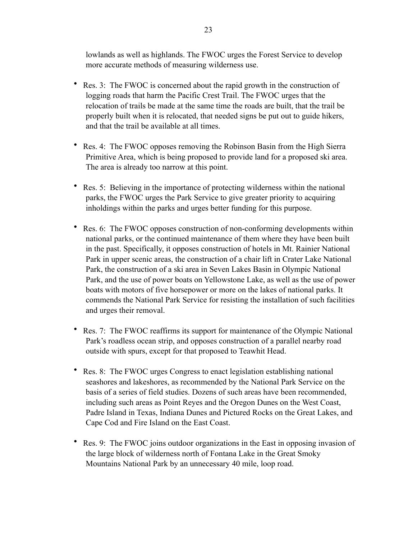lowlands as well as highlands. The FWOC urges the Forest Service to develop more accurate methods of measuring wilderness use.

- Res. 3: The FWOC is concerned about the rapid growth in the construction of logging roads that harm the Pacific Crest Trail. The FWOC urges that the relocation of trails be made at the same time the roads are built, that the trail be properly built when it is relocated, that needed signs be put out to guide hikers, and that the trail be available at all times.
- Res. 4: The FWOC opposes removing the Robinson Basin from the High Sierra Primitive Area, which is being proposed to provide land for a proposed ski area. The area is already too narrow at this point.
- Res. 5: Believing in the importance of protecting wilderness within the national parks, the FWOC urges the Park Service to give greater priority to acquiring inholdings within the parks and urges better funding for this purpose.
- Res. 6: The FWOC opposes construction of non-conforming developments within national parks, or the continued maintenance of them where they have been built in the past. Specifically, it opposes construction of hotels in Mt. Rainier National Park in upper scenic areas, the construction of a chair lift in Crater Lake National Park, the construction of a ski area in Seven Lakes Basin in Olympic National Park, and the use of power boats on Yellowstone Lake, as well as the use of power boats with motors of five horsepower or more on the lakes of national parks. It commends the National Park Service for resisting the installation of such facilities and urges their removal.
- Res. 7: The FWOC reaffirms its support for maintenance of the Olympic National Park's roadless ocean strip, and opposes construction of a parallel nearby road outside with spurs, except for that proposed to Teawhit Head.
- Res. 8: The FWOC urges Congress to enact legislation establishing national seashores and lakeshores, as recommended by the National Park Service on the basis of a series of field studies. Dozens of such areas have been recommended, including such areas as Point Reyes and the Oregon Dunes on the West Coast, Padre Island in Texas, Indiana Dunes and Pictured Rocks on the Great Lakes, and Cape Cod and Fire Island on the East Coast.
- Res. 9: The FWOC joins outdoor organizations in the East in opposing invasion of the large block of wilderness north of Fontana Lake in the Great Smoky Mountains National Park by an unnecessary 40 mile, loop road.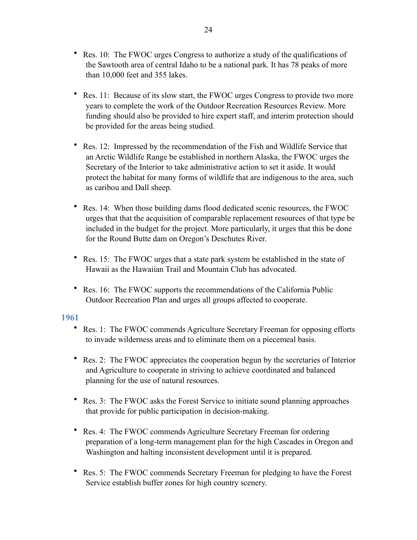- Res. 10: The FWOC urges Congress to authorize a study of the qualifications of the Sawtooth area of central Idaho to be a national park. It has 78 peaks of more than 10,000 feet and 355 lakes.
- Res. 11: Because of its slow start, the FWOC urges Congress to provide two more years to complete the work of the Outdoor Recreation Resources Review. More funding should also be provided to hire expert staff, and interim protection should be provided for the areas being studied.
- Res. 12: Impressed by the recommendation of the Fish and Wildlife Service that an Arctic Wildlife Range be established in northern Alaska, the FWOC urges the Secretary of the Interior to take administrative action to set it aside. It would protect the habitat for many forms of wildlife that are indigenous to the area, such as caribou and Dall sheep.
- Res. 14: When those building dams flood dedicated scenic resources, the FWOC urges that that the acquisition of comparable replacement resources of that type be included in the budget for the project. More particularly, it urges that this be done for the Round Butte dam on Oregon's Deschutes River.
- Res. 15: The FWOC urges that a state park system be established in the state of Hawaii as the Hawaiian Trail and Mountain Club has advocated.
- Res. 16: The FWOC supports the recommendations of the California Public Outdoor Recreation Plan and urges all groups affected to cooperate.

- <span id="page-23-0"></span>• Res. 1: The FWOC commends Agriculture Secretary Freeman for opposing efforts to invade wilderness areas and to eliminate them on a piecemeal basis.
- Res. 2: The FWOC appreciates the cooperation begun by the secretaries of Interior and Agriculture to cooperate in striving to achieve coordinated and balanced planning for the use of natural resources.
- Res. 3: The FWOC asks the Forest Service to initiate sound planning approaches that provide for public participation in decision-making.
- Res. 4: The FWOC commends Agriculture Secretary Freeman for ordering preparation of a long-term management plan for the high Cascades in Oregon and Washington and halting inconsistent development until it is prepared.
- Res. 5: The FWOC commends Secretary Freeman for pledging to have the Forest Service establish buffer zones for high country scenery.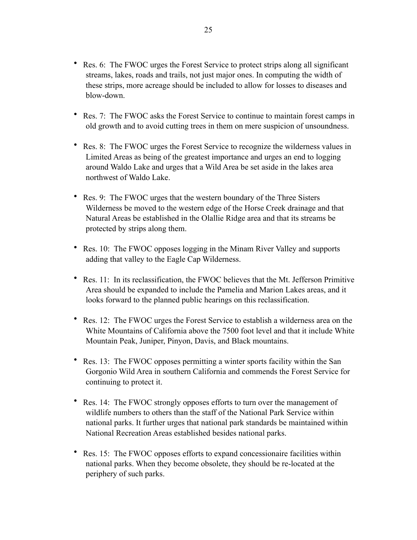- Res. 6: The FWOC urges the Forest Service to protect strips along all significant streams, lakes, roads and trails, not just major ones. In computing the width of these strips, more acreage should be included to allow for losses to diseases and blow-down.
- Res. 7: The FWOC asks the Forest Service to continue to maintain forest camps in old growth and to avoid cutting trees in them on mere suspicion of unsoundness.
- Res. 8: The FWOC urges the Forest Service to recognize the wilderness values in Limited Areas as being of the greatest importance and urges an end to logging around Waldo Lake and urges that a Wild Area be set aside in the lakes area northwest of Waldo Lake.
- Res. 9: The FWOC urges that the western boundary of the Three Sisters Wilderness be moved to the western edge of the Horse Creek drainage and that Natural Areas be established in the Olallie Ridge area and that its streams be protected by strips along them.
- Res. 10: The FWOC opposes logging in the Minam River Valley and supports adding that valley to the Eagle Cap Wilderness.
- Res. 11: In its reclassification, the FWOC believes that the Mt. Jefferson Primitive Area should be expanded to include the Pamelia and Marion Lakes areas, and it looks forward to the planned public hearings on this reclassification.
- Res. 12: The FWOC urges the Forest Service to establish a wilderness area on the White Mountains of California above the 7500 foot level and that it include White Mountain Peak, Juniper, Pinyon, Davis, and Black mountains.
- Res. 13: The FWOC opposes permitting a winter sports facility within the San Gorgonio Wild Area in southern California and commends the Forest Service for continuing to protect it.
- Res. 14: The FWOC strongly opposes efforts to turn over the management of wildlife numbers to others than the staff of the National Park Service within national parks. It further urges that national park standards be maintained within National Recreation Areas established besides national parks.
- Res. 15: The FWOC opposes efforts to expand concessionaire facilities within national parks. When they become obsolete, they should be re-located at the periphery of such parks.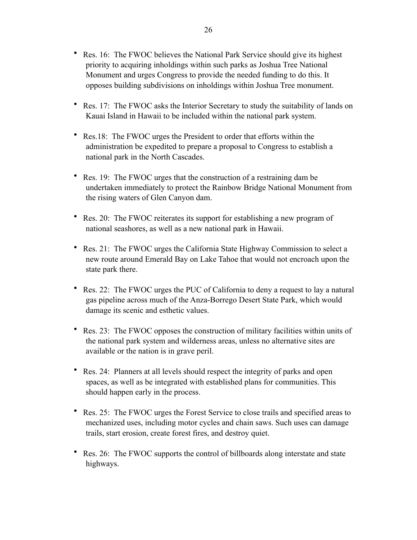- Res. 16: The FWOC believes the National Park Service should give its highest priority to acquiring inholdings within such parks as Joshua Tree National Monument and urges Congress to provide the needed funding to do this. It opposes building subdivisions on inholdings within Joshua Tree monument.
- Res. 17: The FWOC asks the Interior Secretary to study the suitability of lands on Kauai Island in Hawaii to be included within the national park system.
- Res.18: The FWOC urges the President to order that efforts within the administration be expedited to prepare a proposal to Congress to establish a national park in the North Cascades.
- Res. 19: The FWOC urges that the construction of a restraining dam be undertaken immediately to protect the Rainbow Bridge National Monument from the rising waters of Glen Canyon dam.
- Res. 20: The FWOC reiterates its support for establishing a new program of national seashores, as well as a new national park in Hawaii.
- Res. 21: The FWOC urges the California State Highway Commission to select a new route around Emerald Bay on Lake Tahoe that would not encroach upon the state park there.
- Res. 22: The FWOC urges the PUC of California to deny a request to lay a natural gas pipeline across much of the Anza-Borrego Desert State Park, which would damage its scenic and esthetic values.
- Res. 23: The FWOC opposes the construction of military facilities within units of the national park system and wilderness areas, unless no alternative sites are available or the nation is in grave peril.
- Res. 24: Planners at all levels should respect the integrity of parks and open spaces, as well as be integrated with established plans for communities. This should happen early in the process.
- Res. 25: The FWOC urges the Forest Service to close trails and specified areas to mechanized uses, including motor cycles and chain saws. Such uses can damage trails, start erosion, create forest fires, and destroy quiet.
- Res. 26: The FWOC supports the control of billboards along interstate and state highways.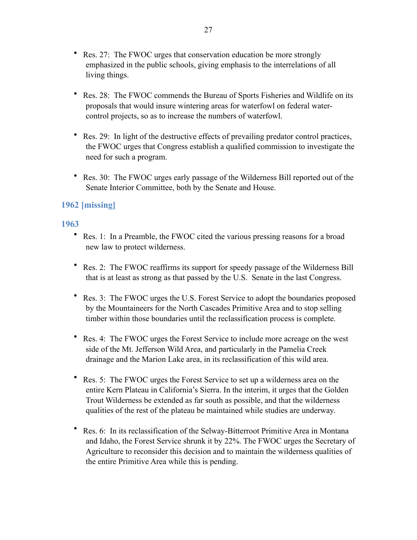- Res. 27: The FWOC urges that conservation education be more strongly emphasized in the public schools, giving emphasis to the interrelations of all living things.
- Res. 28: The FWOC commends the Bureau of Sports Fisheries and Wildlife on its proposals that would insure wintering areas for waterfowl on federal watercontrol projects, so as to increase the numbers of waterfowl.
- Res. 29: In light of the destructive effects of prevailing predator control practices, the FWOC urges that Congress establish a qualified commission to investigate the need for such a program.
- Res. 30: The FWOC urges early passage of the Wilderness Bill reported out of the Senate Interior Committee, both by the Senate and House.

# <span id="page-26-1"></span><span id="page-26-0"></span>**1962 [missing]**

- Res. 1: In a Preamble, the FWOC cited the various pressing reasons for a broad new law to protect wilderness.
- Res. 2: The FWOC reaffirms its support for speedy passage of the Wilderness Bill that is at least as strong as that passed by the U.S. Senate in the last Congress.
- Res. 3: The FWOC urges the U.S. Forest Service to adopt the boundaries proposed by the Mountaineers for the North Cascades Primitive Area and to stop selling timber within those boundaries until the reclassification process is complete.
- Res. 4: The FWOC urges the Forest Service to include more acreage on the west side of the Mt. Jefferson Wild Area, and particularly in the Pamelia Creek drainage and the Marion Lake area, in its reclassification of this wild area.
- Res. 5: The FWOC urges the Forest Service to set up a wilderness area on the entire Kern Plateau in California's Sierra. In the interim, it urges that the Golden Trout Wilderness be extended as far south as possible, and that the wilderness qualities of the rest of the plateau be maintained while studies are underway.
- Res. 6: In its reclassification of the Selway-Bitterroot Primitive Area in Montana and Idaho, the Forest Service shrunk it by 22%. The FWOC urges the Secretary of Agriculture to reconsider this decision and to maintain the wilderness qualities of the entire Primitive Area while this is pending.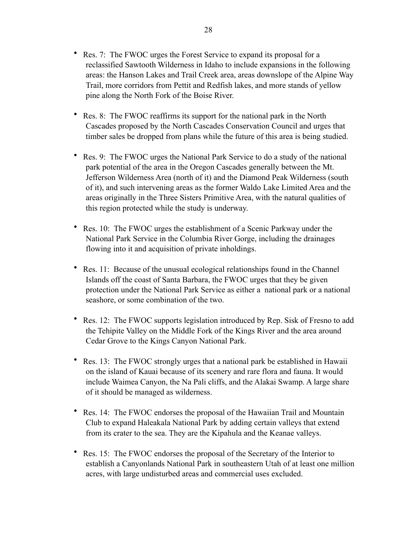- Res. 7: The FWOC urges the Forest Service to expand its proposal for a reclassified Sawtooth Wilderness in Idaho to include expansions in the following areas: the Hanson Lakes and Trail Creek area, areas downslope of the Alpine Way Trail, more corridors from Pettit and Redfish lakes, and more stands of yellow pine along the North Fork of the Boise River.
- Res. 8: The FWOC reaffirms its support for the national park in the North Cascades proposed by the North Cascades Conservation Council and urges that timber sales be dropped from plans while the future of this area is being studied.
- Res. 9: The FWOC urges the National Park Service to do a study of the national park potential of the area in the Oregon Cascades generally between the Mt. Jefferson Wilderness Area (north of it) and the Diamond Peak Wilderness (south of it), and such intervening areas as the former Waldo Lake Limited Area and the areas originally in the Three Sisters Primitive Area, with the natural qualities of this region protected while the study is underway.
- Res. 10: The FWOC urges the establishment of a Scenic Parkway under the National Park Service in the Columbia River Gorge, including the drainages flowing into it and acquisition of private inholdings.
- Res. 11: Because of the unusual ecological relationships found in the Channel Islands off the coast of Santa Barbara, the FWOC urges that they be given protection under the National Park Service as either a national park or a national seashore, or some combination of the two.
- Res. 12: The FWOC supports legislation introduced by Rep. Sisk of Fresno to add the Tehipite Valley on the Middle Fork of the Kings River and the area around Cedar Grove to the Kings Canyon National Park.
- Res. 13: The FWOC strongly urges that a national park be established in Hawaii on the island of Kauai because of its scenery and rare flora and fauna. It would include Waimea Canyon, the Na Pali cliffs, and the Alakai Swamp. A large share of it should be managed as wilderness.
- Res. 14: The FWOC endorses the proposal of the Hawaiian Trail and Mountain Club to expand Haleakala National Park by adding certain valleys that extend from its crater to the sea. They are the Kipahula and the Keanae valleys.
- Res. 15: The FWOC endorses the proposal of the Secretary of the Interior to establish a Canyonlands National Park in southeastern Utah of at least one million acres, with large undisturbed areas and commercial uses excluded.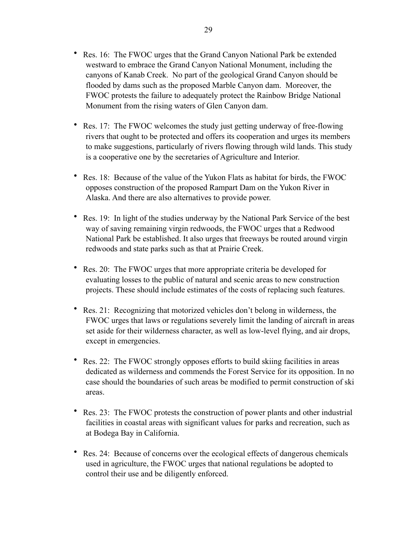- Res. 16: The FWOC urges that the Grand Canyon National Park be extended westward to embrace the Grand Canyon National Monument, including the canyons of Kanab Creek. No part of the geological Grand Canyon should be flooded by dams such as the proposed Marble Canyon dam. Moreover, the FWOC protests the failure to adequately protect the Rainbow Bridge National Monument from the rising waters of Glen Canyon dam.
- Res. 17: The FWOC welcomes the study just getting underway of free-flowing rivers that ought to be protected and offers its cooperation and urges its members to make suggestions, particularly of rivers flowing through wild lands. This study is a cooperative one by the secretaries of Agriculture and Interior.
- Res. 18: Because of the value of the Yukon Flats as habitat for birds, the FWOC opposes construction of the proposed Rampart Dam on the Yukon River in Alaska. And there are also alternatives to provide power.
- Res. 19: In light of the studies underway by the National Park Service of the best way of saving remaining virgin redwoods, the FWOC urges that a Redwood National Park be established. It also urges that freeways be routed around virgin redwoods and state parks such as that at Prairie Creek.
- Res. 20: The FWOC urges that more appropriate criteria be developed for evaluating losses to the public of natural and scenic areas to new construction projects. These should include estimates of the costs of replacing such features.
- Res. 21: Recognizing that motorized vehicles don't belong in wilderness, the FWOC urges that laws or regulations severely limit the landing of aircraft in areas set aside for their wilderness character, as well as low-level flying, and air drops, except in emergencies.
- Res. 22: The FWOC strongly opposes efforts to build skiing facilities in areas dedicated as wilderness and commends the Forest Service for its opposition. In no case should the boundaries of such areas be modified to permit construction of ski areas.
- Res. 23: The FWOC protests the construction of power plants and other industrial facilities in coastal areas with significant values for parks and recreation, such as at Bodega Bay in California.
- Res. 24: Because of concerns over the ecological effects of dangerous chemicals used in agriculture, the FWOC urges that national regulations be adopted to control their use and be diligently enforced.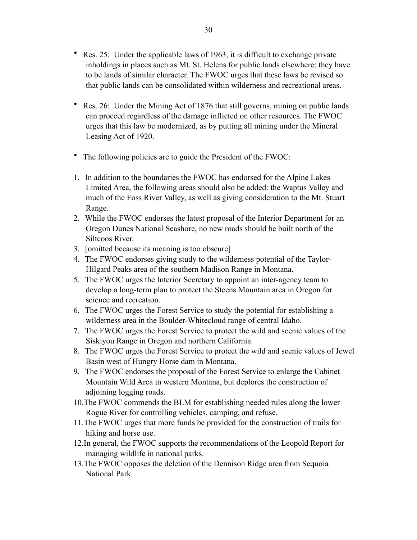- Res. 25: Under the applicable laws of 1963, it is difficult to exchange private inholdings in places such as Mt. St. Helens for public lands elsewhere; they have to be lands of similar character. The FWOC urges that these laws be revised so that public lands can be consolidated within wilderness and recreational areas.
- Res. 26: Under the Mining Act of 1876 that still governs, mining on public lands can proceed regardless of the damage inflicted on other resources. The FWOC urges that this law be modernized, as by putting all mining under the Mineral Leasing Act of 1920.
- The following policies are to guide the President of the FWOC:
- 1. In addition to the boundaries the FWOC has endorsed for the Alpine Lakes Limited Area, the following areas should also be added: the Waptus Valley and much of the Foss River Valley, as well as giving consideration to the Mt. Stuart Range.
- 2. While the FWOC endorses the latest proposal of the Interior Department for an Oregon Dunes National Seashore, no new roads should be built north of the Siltcoos River.
- 3. [omitted because its meaning is too obscure]
- 4. The FWOC endorses giving study to the wilderness potential of the Taylor-Hilgard Peaks area of the southern Madison Range in Montana.
- 5. The FWOC urges the Interior Secretary to appoint an inter-agency team to develop a long-term plan to protect the Steens Mountain area in Oregon for science and recreation.
- 6. The FWOC urges the Forest Service to study the potential for establishing a wilderness area in the Boulder-Whitecloud range of central Idaho.
- 7. The FWOC urges the Forest Service to protect the wild and scenic values of the Siskiyou Range in Oregon and northern California.
- 8. The FWOC urges the Forest Service to protect the wild and scenic values of Jewel Basin west of Hungry Horse dam in Montana.
- 9. The FWOC endorses the proposal of the Forest Service to enlarge the Cabinet Mountain Wild Area in western Montana, but deplores the construction of adjoining logging roads.
- 10.The FWOC commends the BLM for establishing needed rules along the lower Rogue River for controlling vehicles, camping, and refuse.
- 11.The FWOC urges that more funds be provided for the construction of trails for hiking and horse use.
- 12.In general, the FWOC supports the recommendations of the Leopold Report for managing wildlife in national parks.
- 13.The FWOC opposes the deletion of the Dennison Ridge area from Sequoia National Park.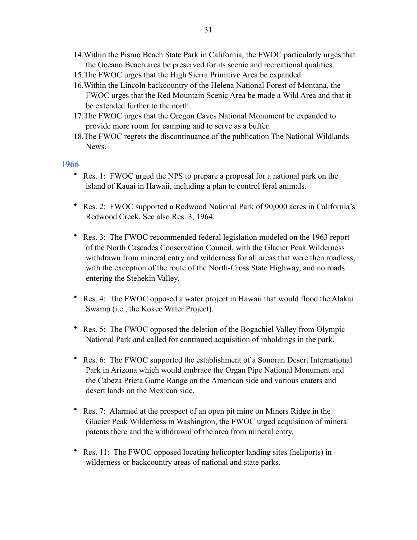- 14.Within the Pismo Beach State Park in California, the FWOC particularly urges that the Oceano Beach area be preserved for its scenic and recreational qualities.
- 15.The FWOC urges that the High Sierra Primitive Area be expanded.
- 16.Within the Lincoln backcountry of the Helena National Forest of Montana, the FWOC urges that the Red Mountain Scenic Area be made a Wild Area and that it be extended further to the north.
- 17.The FWOC urges that the Oregon Caves National Monument be expanded to provide more room for camping and to serve as a buffer.
- 18.The FWOC regrets the discontinuance of the publication The National Wildlands News.

- <span id="page-30-0"></span>• Res. 1: FWOC urged the NPS to prepare a proposal for a national park on the island of Kauai in Hawaii, including a plan to control feral animals.
- Res. 2: FWOC supported a Redwood National Park of 90,000 acres in California's Redwood Creek. See also Res. 3, 1964.
- Res. 3: The FWOC recommended federal legislation modeled on the 1963 report of the North Cascades Conservation Council, with the Glacier Peak Wilderness withdrawn from mineral entry and wilderness for all areas that were then roadless, with the exception of the route of the North-Cross State Highway, and no roads entering the Stehekin Valley.
- Res. 4: The FWOC opposed a water project in Hawaii that would flood the Alakai Swamp (i.e., the Kokee Water Project).
- Res. 5: The FWOC opposed the deletion of the Bogachiel Valley from Olympic National Park and called for continued acquisition of inholdings in the park.
- Res. 6: The FWOC supported the establishment of a Sonoran Desert International Park in Arizona which would embrace the Organ Pipe National Monument and the Cabeza Prieta Game Range on the American side and various craters and desert lands on the Mexican side.
- Res. 7: Alarmed at the prospect of an open pit mine on Miners Ridge in the Glacier Peak Wilderness in Washington, the FWOC urged acquisition of mineral patents there and the withdrawal of the area from mineral entry.
- Res. 11: The FWOC opposed locating helicopter landing sites (heliports) in wilderness or backcountry areas of national and state parks.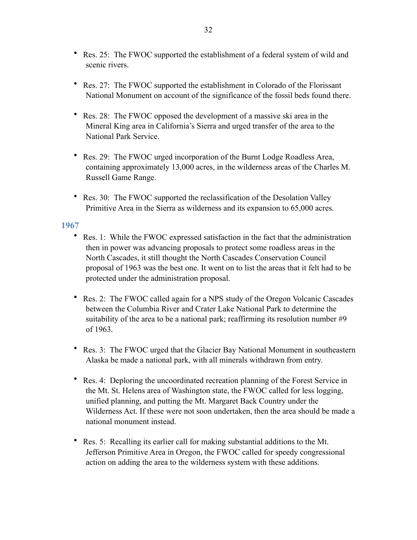- Res. 25: The FWOC supported the establishment of a federal system of wild and scenic rivers.
- Res. 27: The FWOC supported the establishment in Colorado of the Florissant National Monument on account of the significance of the fossil beds found there.
- Res. 28: The FWOC opposed the development of a massive ski area in the Mineral King area in California's Sierra and urged transfer of the area to the National Park Service.
- Res. 29: The FWOC urged incorporation of the Burnt Lodge Roadless Area, containing approximately 13,000 acres, in the wilderness areas of the Charles M. Russell Game Range.
- Res. 30: The FWOC supported the reclassification of the Desolation Valley Primitive Area in the Sierra as wilderness and its expansion to 65,000 acres.

- <span id="page-31-0"></span>• Res. 1: While the FWOC expressed satisfaction in the fact that the administration then in power was advancing proposals to protect some roadless areas in the North Cascades, it still thought the North Cascades Conservation Council proposal of 1963 was the best one. It went on to list the areas that it felt had to be protected under the administration proposal.
- Res. 2: The FWOC called again for a NPS study of the Oregon Volcanic Cascades between the Columbia River and Crater Lake National Park to determine the suitability of the area to be a national park; reaffirming its resolution number #9 of 1963.
- Res. 3: The FWOC urged that the Glacier Bay National Monument in southeastern Alaska be made a national park, with all minerals withdrawn from entry.
- Res. 4: Deploring the uncoordinated recreation planning of the Forest Service in the Mt. St. Helens area of Washington state, the FWOC called for less logging, unified planning, and putting the Mt. Margaret Back Country under the Wilderness Act. If these were not soon undertaken, then the area should be made a national monument instead.
- Res. 5: Recalling its earlier call for making substantial additions to the Mt. Jefferson Primitive Area in Oregon, the FWOC called for speedy congressional action on adding the area to the wilderness system with these additions.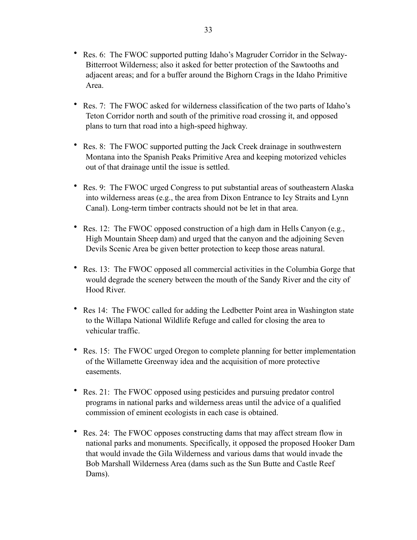- Res. 6: The FWOC supported putting Idaho's Magruder Corridor in the Selway-Bitterroot Wilderness; also it asked for better protection of the Sawtooths and adjacent areas; and for a buffer around the Bighorn Crags in the Idaho Primitive Area.
- Res. 7: The FWOC asked for wilderness classification of the two parts of Idaho's Teton Corridor north and south of the primitive road crossing it, and opposed plans to turn that road into a high-speed highway.
- Res. 8: The FWOC supported putting the Jack Creek drainage in southwestern Montana into the Spanish Peaks Primitive Area and keeping motorized vehicles out of that drainage until the issue is settled.
- Res. 9: The FWOC urged Congress to put substantial areas of southeastern Alaska into wilderness areas (e.g., the area from Dixon Entrance to Icy Straits and Lynn Canal). Long-term timber contracts should not be let in that area.
- Res. 12: The FWOC opposed construction of a high dam in Hells Canyon (e.g., High Mountain Sheep dam) and urged that the canyon and the adjoining Seven Devils Scenic Area be given better protection to keep those areas natural.
- Res. 13: The FWOC opposed all commercial activities in the Columbia Gorge that would degrade the scenery between the mouth of the Sandy River and the city of Hood River.
- Res 14: The FWOC called for adding the Ledbetter Point area in Washington state to the Willapa National Wildlife Refuge and called for closing the area to vehicular traffic.
- Res. 15: The FWOC urged Oregon to complete planning for better implementation of the Willamette Greenway idea and the acquisition of more protective easements.
- Res. 21: The FWOC opposed using pesticides and pursuing predator control programs in national parks and wilderness areas until the advice of a qualified commission of eminent ecologists in each case is obtained.
- Res. 24: The FWOC opposes constructing dams that may affect stream flow in national parks and monuments. Specifically, it opposed the proposed Hooker Dam that would invade the Gila Wilderness and various dams that would invade the Bob Marshall Wilderness Area (dams such as the Sun Butte and Castle Reef Dams).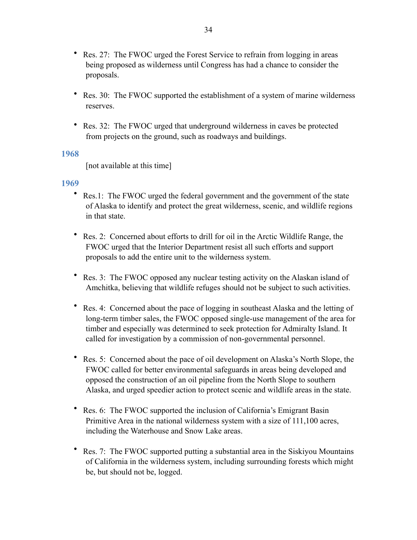- Res. 27: The FWOC urged the Forest Service to refrain from logging in areas being proposed as wilderness until Congress has had a chance to consider the proposals.
- Res. 30: The FWOC supported the establishment of a system of marine wilderness reserves.
- Res. 32: The FWOC urged that underground wilderness in caves be protected from projects on the ground, such as roadways and buildings.

<span id="page-33-0"></span>[not available at this time]

- <span id="page-33-1"></span>• Res.1: The FWOC urged the federal government and the government of the state of Alaska to identify and protect the great wilderness, scenic, and wildlife regions in that state.
- Res. 2: Concerned about efforts to drill for oil in the Arctic Wildlife Range, the FWOC urged that the Interior Department resist all such efforts and support proposals to add the entire unit to the wilderness system.
- Res. 3: The FWOC opposed any nuclear testing activity on the Alaskan island of Amchitka, believing that wildlife refuges should not be subject to such activities.
- Res. 4: Concerned about the pace of logging in southeast Alaska and the letting of long-term timber sales, the FWOC opposed single-use management of the area for timber and especially was determined to seek protection for Admiralty Island. It called for investigation by a commission of non-governmental personnel.
- Res. 5: Concerned about the pace of oil development on Alaska's North Slope, the FWOC called for better environmental safeguards in areas being developed and opposed the construction of an oil pipeline from the North Slope to southern Alaska, and urged speedier action to protect scenic and wildlife areas in the state.
- Res. 6: The FWOC supported the inclusion of California's Emigrant Basin Primitive Area in the national wilderness system with a size of 111,100 acres, including the Waterhouse and Snow Lake areas.
- Res. 7: The FWOC supported putting a substantial area in the Siskiyou Mountains of California in the wilderness system, including surrounding forests which might be, but should not be, logged.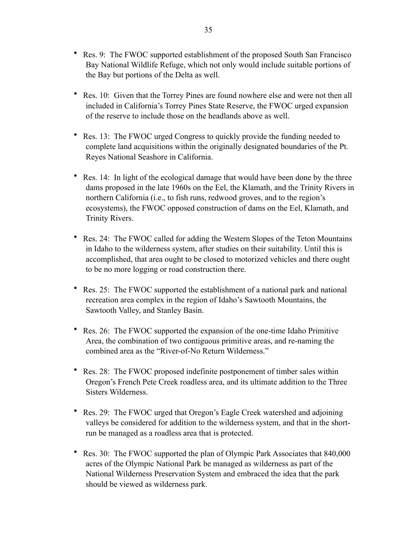- Res. 9: The FWOC supported establishment of the proposed South San Francisco Bay National Wildlife Refuge, which not only would include suitable portions of the Bay but portions of the Delta as well.
- Res. 10: Given that the Torrey Pines are found nowhere else and were not then all included in California's Torrey Pines State Reserve, the FWOC urged expansion of the reserve to include those on the headlands above as well.
- Res. 13: The FWOC urged Congress to quickly provide the funding needed to complete land acquisitions within the originally designated boundaries of the Pt. Reyes National Seashore in California.
- Res. 14: In light of the ecological damage that would have been done by the three dams proposed in the late 1960s on the Eel, the Klamath, and the Trinity Rivers in northern California (i.e., to fish runs, redwood groves, and to the region's ecosystems), the FWOC opposed construction of dams on the Eel, Klamath, and Trinity Rivers.
- Res. 24: The FWOC called for adding the Western Slopes of the Teton Mountains in Idaho to the wilderness system, after studies on their suitability. Until this is accomplished, that area ought to be closed to motorized vehicles and there ought to be no more logging or road construction there.
- Res. 25: The FWOC supported the establishment of a national park and national recreation area complex in the region of Idaho's Sawtooth Mountains, the Sawtooth Valley, and Stanley Basin.
- Res. 26: The FWOC supported the expansion of the one-time Idaho Primitive Area, the combination of two contiguous primitive areas, and re-naming the combined area as the "River-of-No Return Wilderness."
- Res. 28: The FWOC proposed indefinite postponement of timber sales within Oregon's French Pete Creek roadless area, and its ultimate addition to the Three Sisters Wilderness.
- Res. 29: The FWOC urged that Oregon's Eagle Creek watershed and adjoining valleys be considered for addition to the wilderness system, and that in the shortrun be managed as a roadless area that is protected.
- Res. 30: The FWOC supported the plan of Olympic Park Associates that 840,000 acres of the Olympic National Park be managed as wilderness as part of the National Wilderness Preservation System and embraced the idea that the park should be viewed as wilderness park.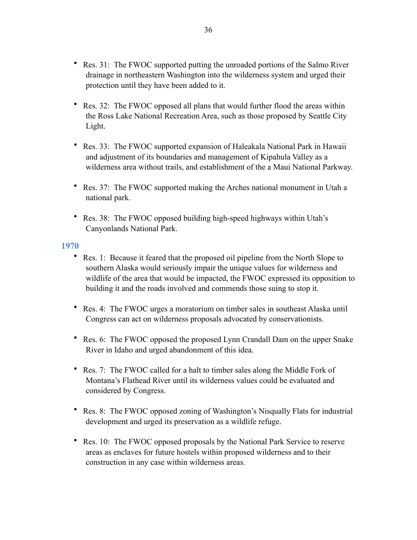- Res. 31: The FWOC supported putting the unroaded portions of the Salmo River drainage in northeastern Washington into the wilderness system and urged their protection until they have been added to it.
- Res. 32: The FWOC opposed all plans that would further flood the areas within the Ross Lake National Recreation Area, such as those proposed by Seattle City Light.
- Res. 33: The FWOC supported expansion of Haleakala National Park in Hawaii and adjustment of its boundaries and management of Kipahula Valley as a wilderness area without trails, and establishment of the a Maui National Parkway.
- Res. 37: The FWOC supported making the Arches national monument in Utah a national park.
- Res. 38: The FWOC opposed building high-speed highways within Utah's Canyonlands National Park.

- <span id="page-35-0"></span>• Res. 1: Because it feared that the proposed oil pipeline from the North Slope to southern Alaska would seriously impair the unique values for wilderness and wildlife of the area that would be impacted, the FWOC expressed its opposition to building it and the roads involved and commends those suing to stop it.
- Res. 4: The FWOC urges a moratorium on timber sales in southeast Alaska until Congress can act on wilderness proposals advocated by conservationists.
- Res. 6: The FWOC opposed the proposed Lynn Crandall Dam on the upper Snake River in Idaho and urged abandonment of this idea.
- Res. 7: The FWOC called for a halt to timber sales along the Middle Fork of Montana's Flathead River until its wilderness values could be evaluated and considered by Congress.
- Res. 8: The FWOC opposed zoning of Washington's Nisqually Flats for industrial development and urged its preservation as a wildlife refuge.
- Res. 10: The FWOC opposed proposals by the National Park Service to reserve areas as enclaves for future hostels within proposed wilderness and to their construction in any case within wilderness areas.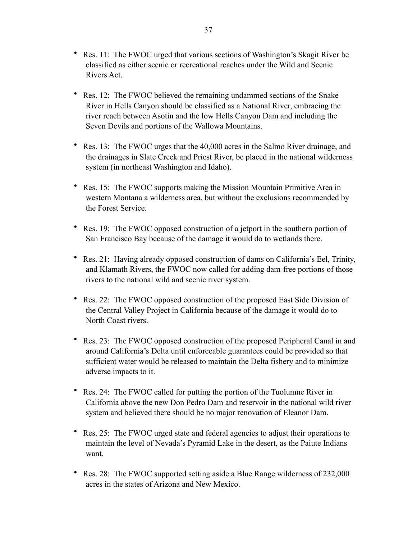- Res. 11: The FWOC urged that various sections of Washington's Skagit River be classified as either scenic or recreational reaches under the Wild and Scenic Rivers Act.
- Res. 12: The FWOC believed the remaining undammed sections of the Snake River in Hells Canyon should be classified as a National River, embracing the river reach between Asotin and the low Hells Canyon Dam and including the Seven Devils and portions of the Wallowa Mountains.
- Res. 13: The FWOC urges that the 40,000 acres in the Salmo River drainage, and the drainages in Slate Creek and Priest River, be placed in the national wilderness system (in northeast Washington and Idaho).
- Res. 15: The FWOC supports making the Mission Mountain Primitive Area in western Montana a wilderness area, but without the exclusions recommended by the Forest Service.
- Res. 19: The FWOC opposed construction of a jetport in the southern portion of San Francisco Bay because of the damage it would do to wetlands there.
- Res. 21: Having already opposed construction of dams on California's Eel, Trinity, and Klamath Rivers, the FWOC now called for adding dam-free portions of those rivers to the national wild and scenic river system.
- Res. 22: The FWOC opposed construction of the proposed East Side Division of the Central Valley Project in California because of the damage it would do to North Coast rivers.
- Res. 23: The FWOC opposed construction of the proposed Peripheral Canal in and around California's Delta until enforceable guarantees could be provided so that sufficient water would be released to maintain the Delta fishery and to minimize adverse impacts to it.
- Res. 24: The FWOC called for putting the portion of the Tuolumne River in California above the new Don Pedro Dam and reservoir in the national wild river system and believed there should be no major renovation of Eleanor Dam.
- Res. 25: The FWOC urged state and federal agencies to adjust their operations to maintain the level of Nevada's Pyramid Lake in the desert, as the Paiute Indians want.
- Res. 28: The FWOC supported setting aside a Blue Range wilderness of 232,000 acres in the states of Arizona and New Mexico.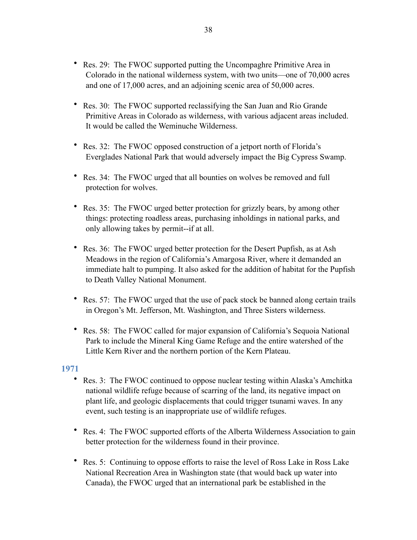- Res. 29: The FWOC supported putting the Uncompaghre Primitive Area in Colorado in the national wilderness system, with two units—one of 70,000 acres and one of 17,000 acres, and an adjoining scenic area of 50,000 acres.
- Res. 30: The FWOC supported reclassifying the San Juan and Rio Grande Primitive Areas in Colorado as wilderness, with various adjacent areas included. It would be called the Weminuche Wilderness.
- Res. 32: The FWOC opposed construction of a jetport north of Florida's Everglades National Park that would adversely impact the Big Cypress Swamp.
- Res. 34: The FWOC urged that all bounties on wolves be removed and full protection for wolves.
- Res. 35: The FWOC urged better protection for grizzly bears, by among other things: protecting roadless areas, purchasing inholdings in national parks, and only allowing takes by permit--if at all.
- Res. 36: The FWOC urged better protection for the Desert Pupfish, as at Ash Meadows in the region of California's Amargosa River, where it demanded an immediate halt to pumping. It also asked for the addition of habitat for the Pupfish to Death Valley National Monument.
- Res. 57: The FWOC urged that the use of pack stock be banned along certain trails in Oregon's Mt. Jefferson, Mt. Washington, and Three Sisters wilderness.
- Res. 58: The FWOC called for major expansion of California's Sequoia National Park to include the Mineral King Game Refuge and the entire watershed of the Little Kern River and the northern portion of the Kern Plateau.

- <span id="page-37-0"></span>• Res. 3: The FWOC continued to oppose nuclear testing within Alaska's Amchitka national wildlife refuge because of scarring of the land, its negative impact on plant life, and geologic displacements that could trigger tsunami waves. In any event, such testing is an inappropriate use of wildlife refuges.
- Res. 4: The FWOC supported efforts of the Alberta Wilderness Association to gain better protection for the wilderness found in their province.
- Res. 5: Continuing to oppose efforts to raise the level of Ross Lake in Ross Lake National Recreation Area in Washington state (that would back up water into Canada), the FWOC urged that an international park be established in the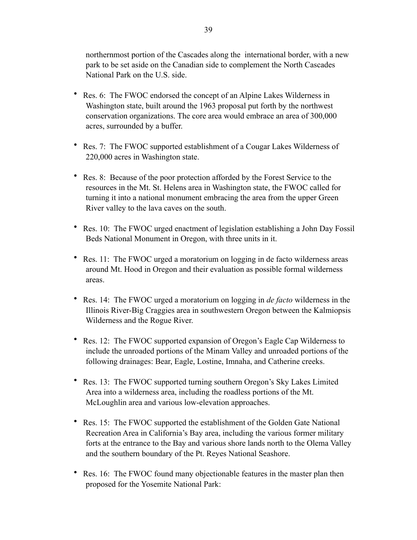northernmost portion of the Cascades along the international border, with a new park to be set aside on the Canadian side to complement the North Cascades National Park on the U.S. side.

- Res. 6: The FWOC endorsed the concept of an Alpine Lakes Wilderness in Washington state, built around the 1963 proposal put forth by the northwest conservation organizations. The core area would embrace an area of 300,000 acres, surrounded by a buffer.
- Res. 7: The FWOC supported establishment of a Cougar Lakes Wilderness of 220,000 acres in Washington state.
- Res. 8: Because of the poor protection afforded by the Forest Service to the resources in the Mt. St. Helens area in Washington state, the FWOC called for turning it into a national monument embracing the area from the upper Green River valley to the lava caves on the south.
- Res. 10: The FWOC urged enactment of legislation establishing a John Day Fossil Beds National Monument in Oregon, with three units in it.
- Res. 11: The FWOC urged a moratorium on logging in de facto wilderness areas around Mt. Hood in Oregon and their evaluation as possible formal wilderness areas.
- Res. 14: The FWOC urged a moratorium on logging in *de facto* wilderness in the Illinois River-Big Craggies area in southwestern Oregon between the Kalmiopsis Wilderness and the Rogue River.
- Res. 12: The FWOC supported expansion of Oregon's Eagle Cap Wilderness to include the unroaded portions of the Minam Valley and unroaded portions of the following drainages: Bear, Eagle, Lostine, Imnaha, and Catherine creeks.
- Res. 13: The FWOC supported turning southern Oregon's Sky Lakes Limited Area into a wilderness area, including the roadless portions of the Mt. McLoughlin area and various low-elevation approaches.
- Res. 15: The FWOC supported the establishment of the Golden Gate National Recreation Area in California's Bay area, including the various former military forts at the entrance to the Bay and various shore lands north to the Olema Valley and the southern boundary of the Pt. Reyes National Seashore.
- Res. 16: The FWOC found many objectionable features in the master plan then proposed for the Yosemite National Park: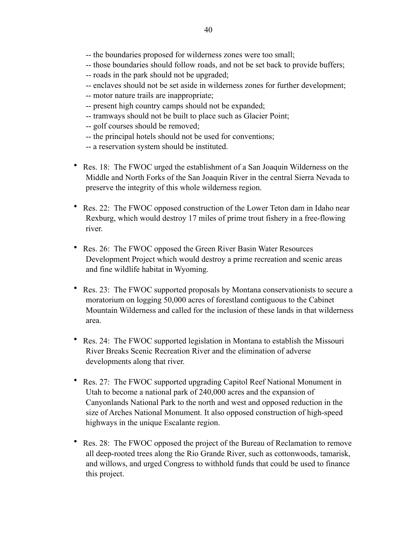- -- the boundaries proposed for wilderness zones were too small;
- -- those boundaries should follow roads, and not be set back to provide buffers;
- -- roads in the park should not be upgraded;
- -- enclaves should not be set aside in wilderness zones for further development;
- -- motor nature trails are inappropriate;
- -- present high country camps should not be expanded;
- -- tramways should not be built to place such as Glacier Point;
- -- golf courses should be removed;
- -- the principal hotels should not be used for conventions;
- -- a reservation system should be instituted.
- Res. 18: The FWOC urged the establishment of a San Joaquin Wilderness on the Middle and North Forks of the San Joaquin River in the central Sierra Nevada to preserve the integrity of this whole wilderness region.
- Res. 22: The FWOC opposed construction of the Lower Teton dam in Idaho near Rexburg, which would destroy 17 miles of prime trout fishery in a free-flowing river.
- Res. 26: The FWOC opposed the Green River Basin Water Resources Development Project which would destroy a prime recreation and scenic areas and fine wildlife habitat in Wyoming.
- Res. 23: The FWOC supported proposals by Montana conservationists to secure a moratorium on logging 50,000 acres of forestland contiguous to the Cabinet Mountain Wilderness and called for the inclusion of these lands in that wilderness area.
- Res. 24: The FWOC supported legislation in Montana to establish the Missouri River Breaks Scenic Recreation River and the elimination of adverse developments along that river.
- Res. 27: The FWOC supported upgrading Capitol Reef National Monument in Utah to become a national park of 240,000 acres and the expansion of Canyonlands National Park to the north and west and opposed reduction in the size of Arches National Monument. It also opposed construction of high-speed highways in the unique Escalante region.
- Res. 28: The FWOC opposed the project of the Bureau of Reclamation to remove all deep-rooted trees along the Rio Grande River, such as cottonwoods, tamarisk, and willows, and urged Congress to withhold funds that could be used to finance this project.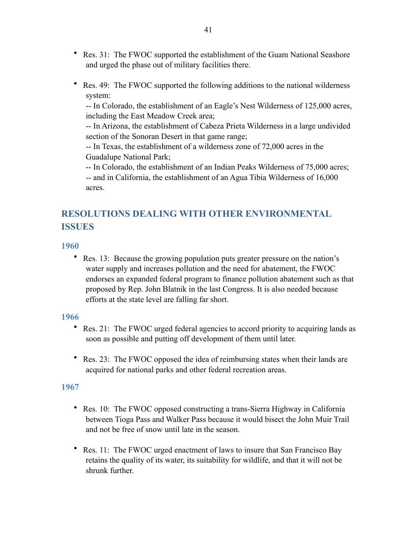- Res. 31: The FWOC supported the establishment of the Guam National Seashore and urged the phase out of military facilities there.
- Res. 49: The FWOC supported the following additions to the national wilderness system:

-- In Colorado, the establishment of an Eagle's Nest Wilderness of 125,000 acres, including the East Meadow Creek area;

-- In Arizona, the establishment of Cabeza Prieta Wilderness in a large undivided section of the Sonoran Desert in that game range;

-- In Texas, the establishment of a wilderness zone of 72,000 acres in the Guadalupe National Park;

-- In Colorado, the establishment of an Indian Peaks Wilderness of 75,000 acres;

-- and in California, the establishment of an Agua Tibia Wilderness of 16,000 acres.

# <span id="page-40-0"></span>**RESOLUTIONS DEALING WITH OTHER ENVIRONMENTAL ISSUES**

### <span id="page-40-1"></span>**1960**

• Res. 13: Because the growing population puts greater pressure on the nation's water supply and increases pollution and the need for abatement, the FWOC endorses an expanded federal program to finance pollution abatement such as that proposed by Rep. John Blatnik in the last Congress. It is also needed because efforts at the state level are falling far short.

#### <span id="page-40-2"></span>**1966**

- Res. 21: The FWOC urged federal agencies to accord priority to acquiring lands as soon as possible and putting off development of them until later.
- Res. 23: The FWOC opposed the idea of reimbursing states when their lands are acquired for national parks and other federal recreation areas.

- <span id="page-40-3"></span>• Res. 10: The FWOC opposed constructing a trans-Sierra Highway in California between Tioga Pass and Walker Pass because it would bisect the John Muir Trail and not be free of snow until late in the season.
- Res. 11: The FWOC urged enactment of laws to insure that San Francisco Bay retains the quality of its water, its suitability for wildlife, and that it will not be shrunk further.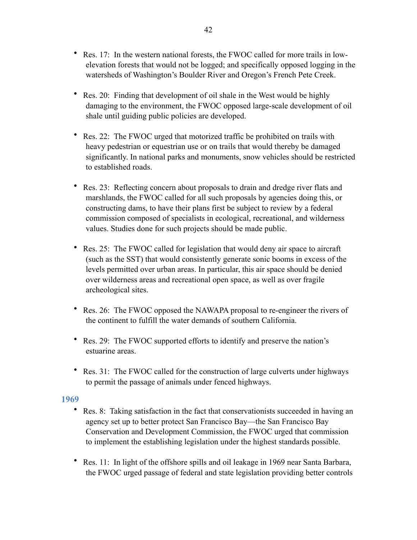- Res. 17: In the western national forests, the FWOC called for more trails in lowelevation forests that would not be logged; and specifically opposed logging in the watersheds of Washington's Boulder River and Oregon's French Pete Creek.
- Res. 20: Finding that development of oil shale in the West would be highly damaging to the environment, the FWOC opposed large-scale development of oil shale until guiding public policies are developed.
- Res. 22: The FWOC urged that motorized traffic be prohibited on trails with heavy pedestrian or equestrian use or on trails that would thereby be damaged significantly. In national parks and monuments, snow vehicles should be restricted to established roads.
- Res. 23: Reflecting concern about proposals to drain and dredge river flats and marshlands, the FWOC called for all such proposals by agencies doing this, or constructing dams, to have their plans first be subject to review by a federal commission composed of specialists in ecological, recreational, and wilderness values. Studies done for such projects should be made public.
- Res. 25: The FWOC called for legislation that would deny air space to aircraft (such as the SST) that would consistently generate sonic booms in excess of the levels permitted over urban areas. In particular, this air space should be denied over wilderness areas and recreational open space, as well as over fragile archeological sites.
- Res. 26: The FWOC opposed the NAWAPA proposal to re-engineer the rivers of the continent to fulfill the water demands of southern California.
- Res. 29: The FWOC supported efforts to identify and preserve the nation's estuarine areas.
- Res. 31: The FWOC called for the construction of large culverts under highways to permit the passage of animals under fenced highways.

- <span id="page-41-0"></span>• Res. 8: Taking satisfaction in the fact that conservationists succeeded in having an agency set up to better protect San Francisco Bay—the San Francisco Bay Conservation and Development Commission, the FWOC urged that commission to implement the establishing legislation under the highest standards possible.
- Res. 11: In light of the offshore spills and oil leakage in 1969 near Santa Barbara, the FWOC urged passage of federal and state legislation providing better controls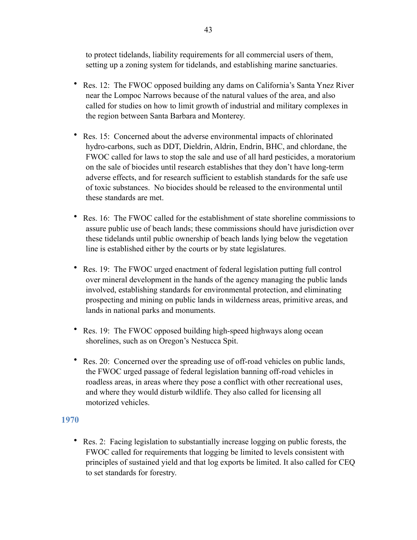to protect tidelands, liability requirements for all commercial users of them, setting up a zoning system for tidelands, and establishing marine sanctuaries.

- Res. 12: The FWOC opposed building any dams on California's Santa Ynez River near the Lompoc Narrows because of the natural values of the area, and also called for studies on how to limit growth of industrial and military complexes in the region between Santa Barbara and Monterey.
- Res. 15: Concerned about the adverse environmental impacts of chlorinated hydro-carbons, such as DDT, Dieldrin, Aldrin, Endrin, BHC, and chlordane, the FWOC called for laws to stop the sale and use of all hard pesticides, a moratorium on the sale of biocides until research establishes that they don't have long-term adverse effects, and for research sufficient to establish standards for the safe use of toxic substances. No biocides should be released to the environmental until these standards are met.
- Res. 16: The FWOC called for the establishment of state shoreline commissions to assure public use of beach lands; these commissions should have jurisdiction over these tidelands until public ownership of beach lands lying below the vegetation line is established either by the courts or by state legislatures.
- Res. 19: The FWOC urged enactment of federal legislation putting full control over mineral development in the hands of the agency managing the public lands involved, establishing standards for environmental protection, and eliminating prospecting and mining on public lands in wilderness areas, primitive areas, and lands in national parks and monuments.
- Res. 19: The FWOC opposed building high-speed highways along ocean shorelines, such as on Oregon's Nestucca Spit.
- Res. 20: Concerned over the spreading use of off-road vehicles on public lands, the FWOC urged passage of federal legislation banning off-road vehicles in roadless areas, in areas where they pose a conflict with other recreational uses, and where they would disturb wildlife. They also called for licensing all motorized vehicles.

# <span id="page-42-0"></span>**1970**

• Res. 2: Facing legislation to substantially increase logging on public forests, the FWOC called for requirements that logging be limited to levels consistent with principles of sustained yield and that log exports be limited. It also called for CEQ to set standards for forestry.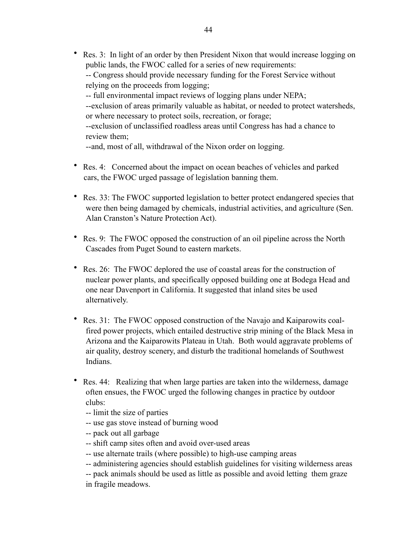• Res. 3: In light of an order by then President Nixon that would increase logging on public lands, the FWOC called for a series of new requirements: -- Congress should provide necessary funding for the Forest Service without relying on the proceeds from logging; -- full environmental impact reviews of logging plans under NEPA; --exclusion of areas primarily valuable as habitat, or needed to protect watersheds, or where necessary to protect soils, recreation, or forage; --exclusion of unclassified roadless areas until Congress has had a chance to review them;

--and, most of all, withdrawal of the Nixon order on logging.

- Res. 4: Concerned about the impact on ocean beaches of vehicles and parked cars, the FWOC urged passage of legislation banning them.
- Res. 33: The FWOC supported legislation to better protect endangered species that were then being damaged by chemicals, industrial activities, and agriculture (Sen. Alan Cranston's Nature Protection Act).
- Res. 9: The FWOC opposed the construction of an oil pipeline across the North Cascades from Puget Sound to eastern markets.
- Res. 26: The FWOC deplored the use of coastal areas for the construction of nuclear power plants, and specifically opposed building one at Bodega Head and one near Davenport in California. It suggested that inland sites be used alternatively.
- Res. 31: The FWOC opposed construction of the Navajo and Kaiparowits coalfired power projects, which entailed destructive strip mining of the Black Mesa in Arizona and the Kaiparowits Plateau in Utah. Both would aggravate problems of air quality, destroy scenery, and disturb the traditional homelands of Southwest Indians.
- Res. 44: Realizing that when large parties are taken into the wilderness, damage often ensues, the FWOC urged the following changes in practice by outdoor clubs:
	- -- limit the size of parties
	- -- use gas stove instead of burning wood
	- -- pack out all garbage
	- -- shift camp sites often and avoid over-used areas
	- -- use alternate trails (where possible) to high-use camping areas
	- -- administering agencies should establish guidelines for visiting wilderness areas
	- -- pack animals should be used as little as possible and avoid letting them graze in fragile meadows.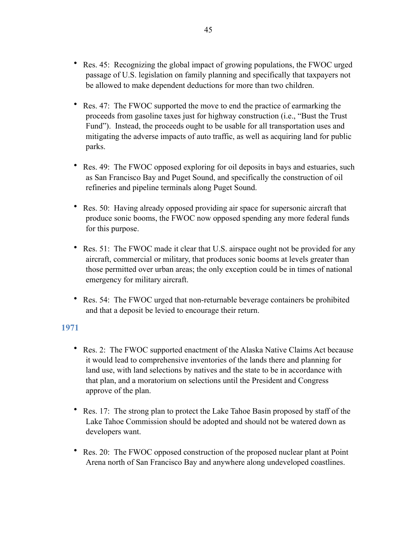- Res. 45: Recognizing the global impact of growing populations, the FWOC urged passage of U.S. legislation on family planning and specifically that taxpayers not be allowed to make dependent deductions for more than two children.
- Res. 47: The FWOC supported the move to end the practice of earmarking the proceeds from gasoline taxes just for highway construction (i.e., "Bust the Trust Fund"). Instead, the proceeds ought to be usable for all transportation uses and mitigating the adverse impacts of auto traffic, as well as acquiring land for public parks.
- Res. 49: The FWOC opposed exploring for oil deposits in bays and estuaries, such as San Francisco Bay and Puget Sound, and specifically the construction of oil refineries and pipeline terminals along Puget Sound.
- Res. 50: Having already opposed providing air space for supersonic aircraft that produce sonic booms, the FWOC now opposed spending any more federal funds for this purpose.
- Res. 51: The FWOC made it clear that U.S. airspace ought not be provided for any aircraft, commercial or military, that produces sonic booms at levels greater than those permitted over urban areas; the only exception could be in times of national emergency for military aircraft.
- Res. 54: The FWOC urged that non-returnable beverage containers be prohibited and that a deposit be levied to encourage their return.

- <span id="page-44-0"></span>• Res. 2: The FWOC supported enactment of the Alaska Native Claims Act because it would lead to comprehensive inventories of the lands there and planning for land use, with land selections by natives and the state to be in accordance with that plan, and a moratorium on selections until the President and Congress approve of the plan.
- Res. 17: The strong plan to protect the Lake Tahoe Basin proposed by staff of the Lake Tahoe Commission should be adopted and should not be watered down as developers want.
- Res. 20: The FWOC opposed construction of the proposed nuclear plant at Point Arena north of San Francisco Bay and anywhere along undeveloped coastlines.